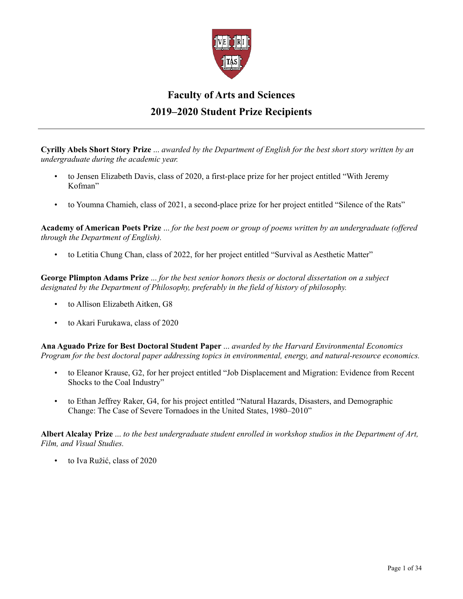

## **Faculty of Arts and Sciences 2019–2020 Student Prize Recipients**

**Cyrilly Abels Short Story Prize** ... *awarded by the Department of English for the best short story written by an undergraduate during the academic year.*

- to Jensen Elizabeth Davis, class of 2020, a first-place prize for her project entitled "With Jeremy Kofman"
- to Youmna Chamieh, class of 2021, a second-place prize for her project entitled "Silence of the Rats"

**Academy of American Poets Prize** ... *for the best poem or group of poems written by an undergraduate (offered through the Department of English).*

• to Letitia Chung Chan, class of 2022, for her project entitled "Survival as Aesthetic Matter"

**George Plimpton Adams Prize** ... *for the best senior honors thesis or doctoral dissertation on a subject designated by the Department of Philosophy, preferably in the field of history of philosophy.*

- to Allison Elizabeth Aitken, G8
- to Akari Furukawa, class of 2020

**Ana Aguado Prize for Best Doctoral Student Paper** ... *awarded by the Harvard Environmental Economics Program for the best doctoral paper addressing topics in environmental, energy, and natural-resource economics.*

- to Eleanor Krause, G2, for her project entitled "Job Displacement and Migration: Evidence from Recent Shocks to the Coal Industry"
- to Ethan Jeffrey Raker, G4, for his project entitled "Natural Hazards, Disasters, and Demographic Change: The Case of Severe Tornadoes in the United States, 1980–2010"

**Albert Alcalay Prize** ... *to the best undergraduate student enrolled in workshop studios in the Department of Art, Film, and Visual Studies.*

• to Iva Ružić, class of 2020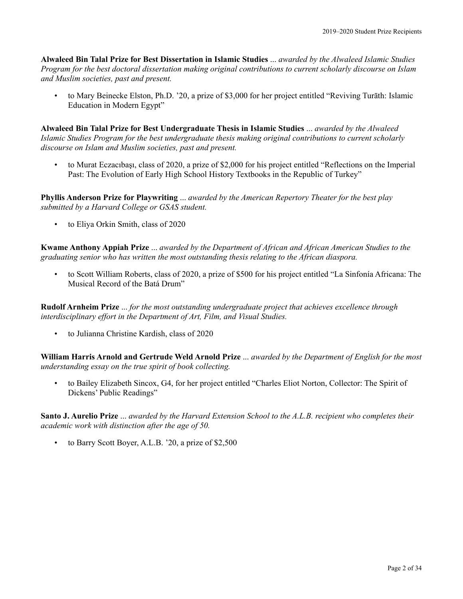**Alwaleed Bin Talal Prize for Best Dissertation in Islamic Studies** ... *awarded by the Alwaleed Islamic Studies Program for the best doctoral dissertation making original contributions to current scholarly discourse on Islam and Muslim societies, past and present.*

• to Mary Beinecke Elston, Ph.D. '20, a prize of \$3,000 for her project entitled "Reviving Turāth: Islamic Education in Modern Egypt"

**Alwaleed Bin Talal Prize for Best Undergraduate Thesis in Islamic Studies** ... *awarded by the Alwaleed Islamic Studies Program for the best undergraduate thesis making original contributions to current scholarly discourse on Islam and Muslim societies, past and present.*

• to Murat Eczacıbaşı, class of 2020, a prize of \$2,000 for his project entitled "Reflections on the Imperial Past: The Evolution of Early High School History Textbooks in the Republic of Turkey"

**Phyllis Anderson Prize for Playwriting** ... *awarded by the American Repertory Theater for the best play submitted by a Harvard College or GSAS student.*

• to Eliya Orkin Smith, class of 2020

**Kwame Anthony Appiah Prize** ... *awarded by the Department of African and African American Studies to the graduating senior who has written the most outstanding thesis relating to the African diaspora.*

• to Scott William Roberts, class of 2020, a prize of \$500 for his project entitled "La Sinfonía Africana: The Musical Record of the Batá Drum"

**Rudolf Arnheim Prize** ... *for the most outstanding undergraduate project that achieves excellence through interdisciplinary effort in the Department of Art, Film, and Visual Studies.*

• to Julianna Christine Kardish, class of 2020

**William Harris Arnold and Gertrude Weld Arnold Prize** ... *awarded by the Department of English for the most understanding essay on the true spirit of book collecting.*

• to Bailey Elizabeth Sincox, G4, for her project entitled "Charles Eliot Norton, Collector: The Spirit of Dickens' Public Readings"

**Santo J. Aurelio Prize** ... *awarded by the Harvard Extension School to the A.L.B. recipient who completes their academic work with distinction after the age of 50.*

• to Barry Scott Boyer, A.L.B. '20, a prize of \$2,500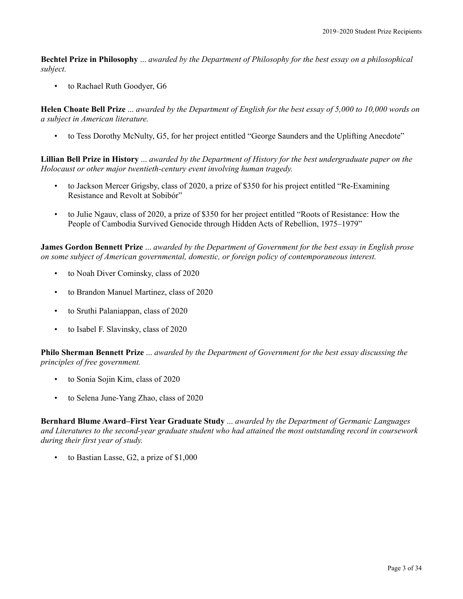**Bechtel Prize in Philosophy** ... *awarded by the Department of Philosophy for the best essay on a philosophical subject.*

• to Rachael Ruth Goodyer, G6

**Helen Choate Bell Prize** ... *awarded by the Department of English for the best essay of 5,000 to 10,000 words on a subject in American literature.*

• to Tess Dorothy McNulty, G5, for her project entitled "George Saunders and the Uplifting Anecdote"

**Lillian Bell Prize in History** ... *awarded by the Department of History for the best undergraduate paper on the Holocaust or other major twentieth-century event involving human tragedy.*

- to Jackson Mercer Grigsby, class of 2020, a prize of \$350 for his project entitled "Re-Examining Resistance and Revolt at Sobibór"
- to Julie Ngauv, class of 2020, a prize of \$350 for her project entitled "Roots of Resistance: How the People of Cambodia Survived Genocide through Hidden Acts of Rebellion, 1975–1979"

**James Gordon Bennett Prize** ... *awarded by the Department of Government for the best essay in English prose on some subject of American governmental, domestic, or foreign policy of contemporaneous interest.*

- to Noah Diver Cominsky, class of 2020
- to Brandon Manuel Martinez, class of 2020
- to Sruthi Palaniappan, class of 2020
- to Isabel F. Slavinsky, class of 2020

**Philo Sherman Bennett Prize** ... *awarded by the Department of Government for the best essay discussing the principles of free government.*

- to Sonia Sojin Kim, class of 2020
- to Selena June-Yang Zhao, class of 2020

**Bernhard Blume Award–First Year Graduate Study** ... *awarded by the Department of Germanic Languages and Literatures to the second-year graduate student who had attained the most outstanding record in coursework during their first year of study.*

to Bastian Lasse, G2, a prize of \$1,000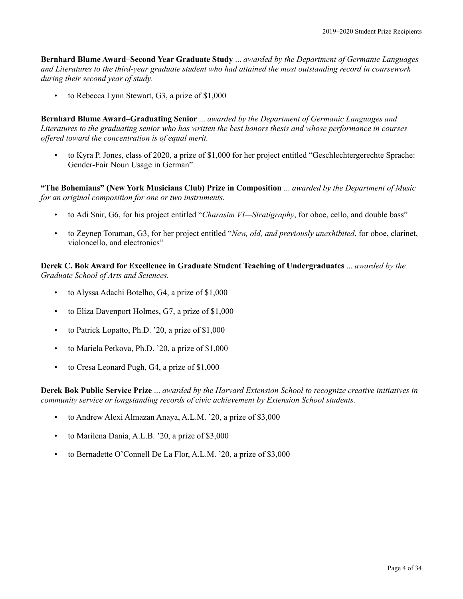**Bernhard Blume Award–Second Year Graduate Study** ... *awarded by the Department of Germanic Languages and Literatures to the third-year graduate student who had attained the most outstanding record in coursework during their second year of study.*

• to Rebecca Lynn Stewart, G3, a prize of \$1,000

**Bernhard Blume Award–Graduating Senior** ... *awarded by the Department of Germanic Languages and Literatures to the graduating senior who has written the best honors thesis and whose performance in courses offered toward the concentration is of equal merit.*

• to Kyra P. Jones, class of 2020, a prize of \$1,000 for her project entitled "Geschlechtergerechte Sprache: Gender-Fair Noun Usage in German"

**"The Bohemians" (New York Musicians Club) Prize in Composition** ... *awarded by the Department of Music for an original composition for one or two instruments.*

- to Adi Snir, G6, for his project entitled "*Charasim VI—Stratigraphy*, for oboe, cello, and double bass"
- to Zeynep Toraman, G3, for her project entitled "*New, old, and previously unexhibited*, for oboe, clarinet, violoncello, and electronics"

**Derek C. Bok Award for Excellence in Graduate Student Teaching of Undergraduates** ... *awarded by the Graduate School of Arts and Sciences.*

- to Alyssa Adachi Botelho, G4, a prize of \$1,000
- to Eliza Davenport Holmes, G7, a prize of \$1,000
- to Patrick Lopatto, Ph.D. '20, a prize of \$1,000
- to Mariela Petkova, Ph.D. '20, a prize of \$1,000
- to Cresa Leonard Pugh, G4, a prize of \$1,000

**Derek Bok Public Service Prize** ... *awarded by the Harvard Extension School to recognize creative initiatives in community service or longstanding records of civic achievement by Extension School students.*

- to Andrew Alexi Almazan Anaya, A.L.M. '20, a prize of \$3,000
- to Marilena Dania, A.L.B. '20, a prize of \$3,000
- to Bernadette O'Connell De La Flor, A.L.M. '20, a prize of \$3,000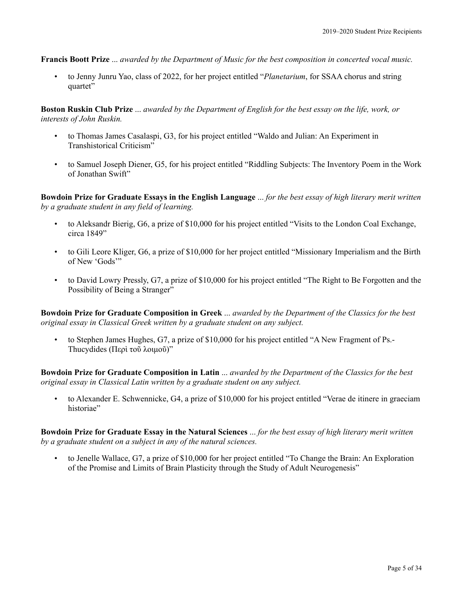**Francis Boott Prize** ... *awarded by the Department of Music for the best composition in concerted vocal music.*

• to Jenny Junru Yao, class of 2022, for her project entitled "*Planetarium*, for SSAA chorus and string quartet"

**Boston Ruskin Club Prize** ... *awarded by the Department of English for the best essay on the life, work, or interests of John Ruskin.*

- to Thomas James Casalaspi, G3, for his project entitled "Waldo and Julian: An Experiment in Transhistorical Criticism"
- to Samuel Joseph Diener, G5, for his project entitled "Riddling Subjects: The Inventory Poem in the Work of Jonathan Swift"

**Bowdoin Prize for Graduate Essays in the English Language** ... *for the best essay of high literary merit written by a graduate student in any field of learning.*

- to Aleksandr Bierig, G6, a prize of \$10,000 for his project entitled "Visits to the London Coal Exchange, circa 1849"
- to Gili Leore Kliger, G6, a prize of \$10,000 for her project entitled "Missionary Imperialism and the Birth of New 'Gods'"
- to David Lowry Pressly, G7, a prize of \$10,000 for his project entitled "The Right to Be Forgotten and the Possibility of Being a Stranger"

**Bowdoin Prize for Graduate Composition in Greek** ... *awarded by the Department of the Classics for the best original essay in Classical Greek written by a graduate student on any subject.*

• to Stephen James Hughes, G7, a prize of \$10,000 for his project entitled "A New Fragment of Ps.- Thucydides (Περὶ τοῦ λοιμοῦ)"

**Bowdoin Prize for Graduate Composition in Latin** ... *awarded by the Department of the Classics for the best original essay in Classical Latin written by a graduate student on any subject.*

• to Alexander E. Schwennicke, G4, a prize of \$10,000 for his project entitled "Verae de itinere in graeciam historiae"

**Bowdoin Prize for Graduate Essay in the Natural Sciences** ... *for the best essay of high literary merit written by a graduate student on a subject in any of the natural sciences.*

• to Jenelle Wallace, G7, a prize of \$10,000 for her project entitled "To Change the Brain: An Exploration of the Promise and Limits of Brain Plasticity through the Study of Adult Neurogenesis"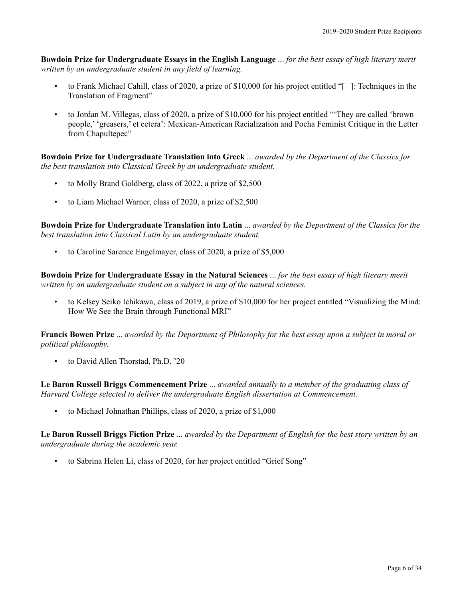**Bowdoin Prize for Undergraduate Essays in the English Language** ... *for the best essay of high literary merit written by an undergraduate student in any field of learning.*

- to Frank Michael Cahill, class of 2020, a prize of \$10,000 for his project entitled "[ ]: Techniques in the Translation of Fragment"
- to Jordan M. Villegas, class of 2020, a prize of \$10,000 for his project entitled "'They are called 'brown people,' 'greasers,' et cetera': Mexican-American Racialization and Pocha Feminist Critique in the Letter from Chapultepec"

**Bowdoin Prize for Undergraduate Translation into Greek** ... *awarded by the Department of the Classics for the best translation into Classical Greek by an undergraduate student.*

- to Molly Brand Goldberg, class of 2022, a prize of \$2,500
- to Liam Michael Warner, class of 2020, a prize of \$2,500

**Bowdoin Prize for Undergraduate Translation into Latin** ... *awarded by the Department of the Classics for the best translation into Classical Latin by an undergraduate student.*

• to Caroline Sarence Engelmayer, class of 2020, a prize of \$5,000

**Bowdoin Prize for Undergraduate Essay in the Natural Sciences** ... *for the best essay of high literary merit written by an undergraduate student on a subject in any of the natural sciences.*

• to Kelsey Seiko Ichikawa, class of 2019, a prize of \$10,000 for her project entitled "Visualizing the Mind: How We See the Brain through Functional MRI"

**Francis Bowen Prize** ... *awarded by the Department of Philosophy for the best essay upon a subject in moral or political philosophy.*

to David Allen Thorstad, Ph.D. '20

**Le Baron Russell Briggs Commencement Prize** ... *awarded annually to a member of the graduating class of Harvard College selected to deliver the undergraduate English dissertation at Commencement.*

• to Michael Johnathan Phillips, class of 2020, a prize of \$1,000

**Le Baron Russell Briggs Fiction Prize** ... *awarded by the Department of English for the best story written by an undergraduate during the academic year.*

• to Sabrina Helen Li, class of 2020, for her project entitled "Grief Song"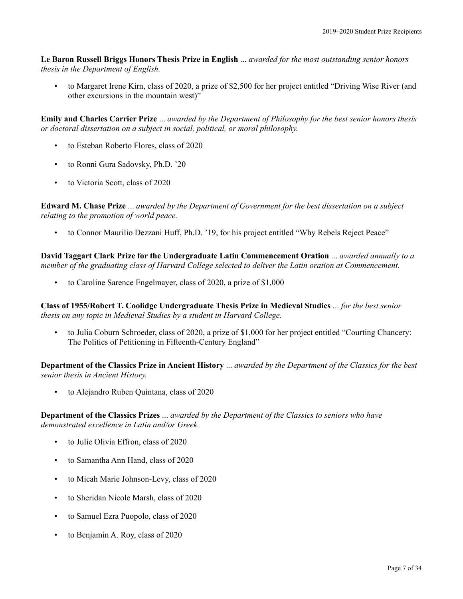**Le Baron Russell Briggs Honors Thesis Prize in English** ... *awarded for the most outstanding senior honors thesis in the Department of English.*

• to Margaret Irene Kirn, class of 2020, a prize of \$2,500 for her project entitled "Driving Wise River (and other excursions in the mountain west)"

**Emily and Charles Carrier Prize** ... *awarded by the Department of Philosophy for the best senior honors thesis or doctoral dissertation on a subject in social, political, or moral philosophy.*

- to Esteban Roberto Flores, class of 2020
- to Ronni Gura Sadovsky, Ph.D. '20
- to Victoria Scott, class of 2020

**Edward M. Chase Prize** ... *awarded by the Department of Government for the best dissertation on a subject relating to the promotion of world peace.*

• to Connor Maurilio Dezzani Huff, Ph.D. '19, for his project entitled "Why Rebels Reject Peace"

**David Taggart Clark Prize for the Undergraduate Latin Commencement Oration** ... *awarded annually to a member of the graduating class of Harvard College selected to deliver the Latin oration at Commencement.*

• to Caroline Sarence Engelmayer, class of 2020, a prize of \$1,000

**Class of 1955/Robert T. Coolidge Undergraduate Thesis Prize in Medieval Studies** ... *for the best senior thesis on any topic in Medieval Studies by a student in Harvard College.*

• to Julia Coburn Schroeder, class of 2020, a prize of \$1,000 for her project entitled "Courting Chancery: The Politics of Petitioning in Fifteenth-Century England"

**Department of the Classics Prize in Ancient History** ... *awarded by the Department of the Classics for the best senior thesis in Ancient History.*

• to Alejandro Ruben Quintana, class of 2020

**Department of the Classics Prizes** ... *awarded by the Department of the Classics to seniors who have demonstrated excellence in Latin and/or Greek.*

- to Julie Olivia Effron, class of 2020
- to Samantha Ann Hand, class of 2020
- to Micah Marie Johnson-Levy, class of 2020
- to Sheridan Nicole Marsh, class of 2020
- to Samuel Ezra Puopolo, class of 2020
- to Benjamin A. Roy, class of 2020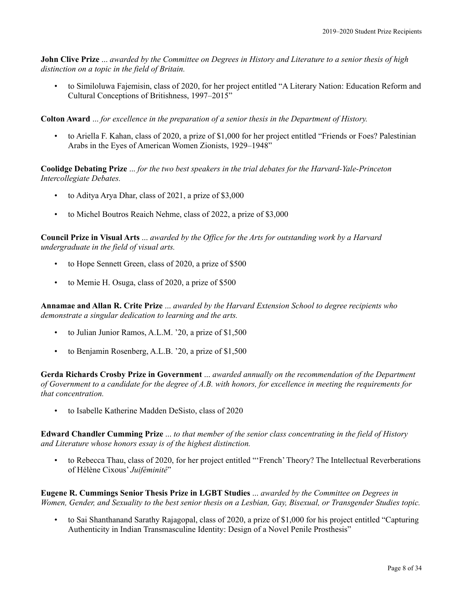**John Clive Prize** ... *awarded by the Committee on Degrees in History and Literature to a senior thesis of high distinction on a topic in the field of Britain.*

• to Similoluwa Fajemisin, class of 2020, for her project entitled "A Literary Nation: Education Reform and Cultural Conceptions of Britishness, 1997–2015"

**Colton Award** ... *for excellence in the preparation of a senior thesis in the Department of History.*

• to Ariella F. Kahan, class of 2020, a prize of \$1,000 for her project entitled "Friends or Foes? Palestinian Arabs in the Eyes of American Women Zionists, 1929–1948"

**Coolidge Debating Prize** ... *for the two best speakers in the trial debates for the Harvard-Yale-Princeton Intercollegiate Debates.*

- to Aditya Arya Dhar, class of 2021, a prize of \$3,000
- to Michel Boutros Reaich Nehme, class of 2022, a prize of \$3,000

**Council Prize in Visual Arts** ... *awarded by the Office for the Arts for outstanding work by a Harvard undergraduate in the field of visual arts.*

- to Hope Sennett Green, class of 2020, a prize of \$500
- to Memie H. Osuga, class of 2020, a prize of \$500

**Annamae and Allan R. Crite Prize** ... *awarded by the Harvard Extension School to degree recipients who demonstrate a singular dedication to learning and the arts.*

- to Julian Junior Ramos, A.L.M. '20, a prize of \$1,500
- to Benjamin Rosenberg, A.L.B. '20, a prize of \$1,500

**Gerda Richards Crosby Prize in Government** ... *awarded annually on the recommendation of the Department of Government to a candidate for the degree of A.B. with honors, for excellence in meeting the requirements for that concentration.*

• to Isabelle Katherine Madden DeSisto, class of 2020

**Edward Chandler Cumming Prize** ... *to that member of the senior class concentrating in the field of History and Literature whose honors essay is of the highest distinction.*

• to Rebecca Thau, class of 2020, for her project entitled "'French' Theory? The Intellectual Reverberations of Hélène Cixous' *Juiféminité*"

**Eugene R. Cummings Senior Thesis Prize in LGBT Studies** ... *awarded by the Committee on Degrees in Women, Gender, and Sexuality to the best senior thesis on a Lesbian, Gay, Bisexual, or Transgender Studies topic.*

• to Sai Shanthanand Sarathy Rajagopal, class of 2020, a prize of \$1,000 for his project entitled "Capturing Authenticity in Indian Transmasculine Identity: Design of a Novel Penile Prosthesis"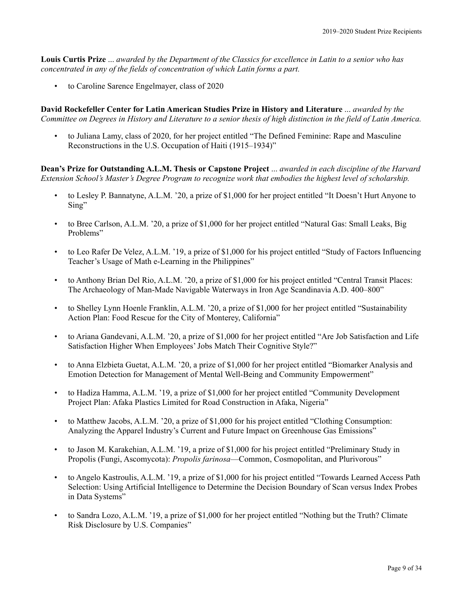**Louis Curtis Prize** ... *awarded by the Department of the Classics for excellence in Latin to a senior who has concentrated in any of the fields of concentration of which Latin forms a part.*

• to Caroline Sarence Engelmayer, class of 2020

**David Rockefeller Center for Latin American Studies Prize in History and Literature** ... *awarded by the Committee on Degrees in History and Literature to a senior thesis of high distinction in the field of Latin America.*

• to Juliana Lamy, class of 2020, for her project entitled "The Defined Feminine: Rape and Masculine Reconstructions in the U.S. Occupation of Haiti (1915–1934)"

**Dean's Prize for Outstanding A.L.M. Thesis or Capstone Project** ... *awarded in each discipline of the Harvard Extension School's Master's Degree Program to recognize work that embodies the highest level of scholarship.*

- to Lesley P. Bannatyne, A.L.M. '20, a prize of \$1,000 for her project entitled "It Doesn't Hurt Anyone to Sing"
- to Bree Carlson, A.L.M. '20, a prize of \$1,000 for her project entitled "Natural Gas: Small Leaks, Big Problems"
- to Leo Rafer De Velez, A.L.M. '19, a prize of \$1,000 for his project entitled "Study of Factors Influencing Teacher's Usage of Math e-Learning in the Philippines"
- to Anthony Brian Del Rio, A.L.M. '20, a prize of \$1,000 for his project entitled "Central Transit Places: The Archaeology of Man-Made Navigable Waterways in Iron Age Scandinavia A.D. 400–800"
- to Shelley Lynn Hoenle Franklin, A.L.M. '20, a prize of \$1,000 for her project entitled "Sustainability Action Plan: Food Rescue for the City of Monterey, California"
- to Ariana Gandevani, A.L.M. '20, a prize of \$1,000 for her project entitled "Are Job Satisfaction and Life Satisfaction Higher When Employees' Jobs Match Their Cognitive Style?"
- to Anna Elzbieta Guetat, A.L.M. '20, a prize of \$1,000 for her project entitled "Biomarker Analysis and Emotion Detection for Management of Mental Well-Being and Community Empowerment"
- to Hadiza Hamma, A.L.M. '19, a prize of \$1,000 for her project entitled "Community Development Project Plan: Afaka Plastics Limited for Road Construction in Afaka, Nigeria"
- to Matthew Jacobs, A.L.M. '20, a prize of \$1,000 for his project entitled "Clothing Consumption: Analyzing the Apparel Industry's Current and Future Impact on Greenhouse Gas Emissions"
- to Jason M. Karakehian, A.L.M. '19, a prize of \$1,000 for his project entitled "Preliminary Study in Propolis (Fungi, Ascomycota): *Propolis farinosa*—Common, Cosmopolitan, and Plurivorous"
- to Angelo Kastroulis, A.L.M. '19, a prize of \$1,000 for his project entitled "Towards Learned Access Path Selection: Using Artificial Intelligence to Determine the Decision Boundary of Scan versus Index Probes in Data Systems"
- to Sandra Lozo, A.L.M. '19, a prize of \$1,000 for her project entitled "Nothing but the Truth? Climate Risk Disclosure by U.S. Companies"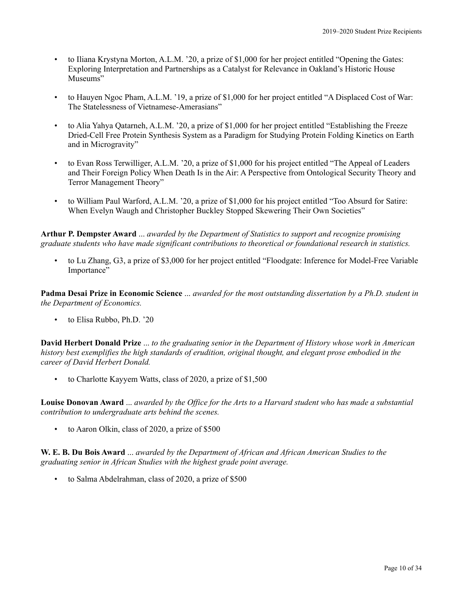- to Iliana Krystyna Morton, A.L.M. '20, a prize of \$1,000 for her project entitled "Opening the Gates: Exploring Interpretation and Partnerships as a Catalyst for Relevance in Oakland's Historic House Museums"
- to Hauyen Ngoc Pham, A.L.M. '19, a prize of \$1,000 for her project entitled "A Displaced Cost of War: The Statelessness of Vietnamese-Amerasians"
- to Alia Yahya Qatarneh, A.L.M. '20, a prize of \$1,000 for her project entitled "Establishing the Freeze Dried-Cell Free Protein Synthesis System as a Paradigm for Studying Protein Folding Kinetics on Earth and in Microgravity"
- to Evan Ross Terwilliger, A.L.M. '20, a prize of \$1,000 for his project entitled "The Appeal of Leaders and Their Foreign Policy When Death Is in the Air: A Perspective from Ontological Security Theory and Terror Management Theory"
- to William Paul Warford, A.L.M. '20, a prize of \$1,000 for his project entitled "Too Absurd for Satire: When Evelyn Waugh and Christopher Buckley Stopped Skewering Their Own Societies"

**Arthur P. Dempster Award** ... *awarded by the Department of Statistics to support and recognize promising graduate students who have made significant contributions to theoretical or foundational research in statistics.*

• to Lu Zhang, G3, a prize of \$3,000 for her project entitled "Floodgate: Inference for Model-Free Variable Importance"

**Padma Desai Prize in Economic Science** ... *awarded for the most outstanding dissertation by a Ph.D. student in the Department of Economics.*

• to Elisa Rubbo, Ph.D. '20

**David Herbert Donald Prize** ... *to the graduating senior in the Department of History whose work in American history best exemplifies the high standards of erudition, original thought, and elegant prose embodied in the career of David Herbert Donald.*

• to Charlotte Kayyem Watts, class of 2020, a prize of \$1,500

**Louise Donovan Award** ... *awarded by the Office for the Arts to a Harvard student who has made a substantial contribution to undergraduate arts behind the scenes.*

• to Aaron Olkin, class of 2020, a prize of \$500

**W. E. B. Du Bois Award** ... *awarded by the Department of African and African American Studies to the graduating senior in African Studies with the highest grade point average.*

• to Salma Abdelrahman, class of 2020, a prize of \$500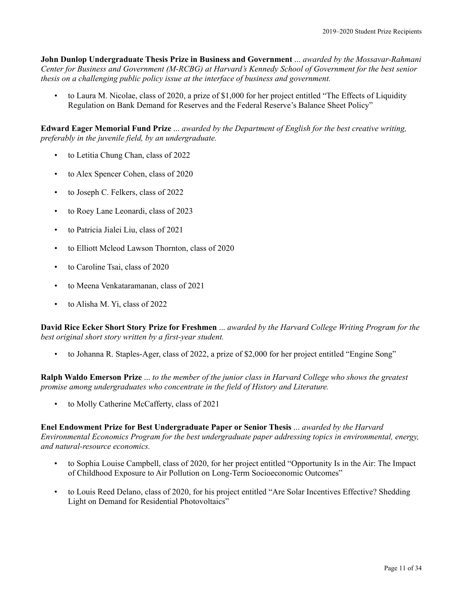**John Dunlop Undergraduate Thesis Prize in Business and Government** ... *awarded by the Mossavar-Rahmani Center for Business and Government (M-RCBG) at Harvard's Kennedy School of Government for the best senior thesis on a challenging public policy issue at the interface of business and government.*

• to Laura M. Nicolae, class of 2020, a prize of \$1,000 for her project entitled "The Effects of Liquidity Regulation on Bank Demand for Reserves and the Federal Reserve's Balance Sheet Policy"

**Edward Eager Memorial Fund Prize** ... *awarded by the Department of English for the best creative writing, preferably in the juvenile field, by an undergraduate.*

- to Letitia Chung Chan, class of 2022
- to Alex Spencer Cohen, class of 2020
- to Joseph C. Felkers, class of 2022
- to Roey Lane Leonardi, class of 2023
- to Patricia Jialei Liu, class of 2021
- to Elliott Mcleod Lawson Thornton, class of 2020
- to Caroline Tsai, class of 2020
- to Meena Venkataramanan, class of 2021
- to Alisha M. Yi, class of 2022

**David Rice Ecker Short Story Prize for Freshmen** ... *awarded by the Harvard College Writing Program for the best original short story written by a first-year student.*

• to Johanna R. Staples-Ager, class of 2022, a prize of \$2,000 for her project entitled "Engine Song"

**Ralph Waldo Emerson Prize** ... *to the member of the junior class in Harvard College who shows the greatest promise among undergraduates who concentrate in the field of History and Literature.*

• to Molly Catherine McCafferty, class of 2021

**Enel Endowment Prize for Best Undergraduate Paper or Senior Thesis** ... *awarded by the Harvard Environmental Economics Program for the best undergraduate paper addressing topics in environmental, energy, and natural-resource economics.*

- to Sophia Louise Campbell, class of 2020, for her project entitled "Opportunity Is in the Air: The Impact of Childhood Exposure to Air Pollution on Long-Term Socioeconomic Outcomes"
- to Louis Reed Delano, class of 2020, for his project entitled "Are Solar Incentives Effective? Shedding Light on Demand for Residential Photovoltaics"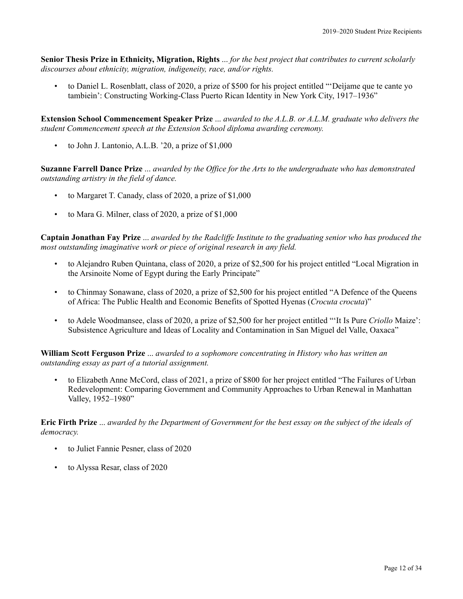**Senior Thesis Prize in Ethnicity, Migration, Rights** ... *for the best project that contributes to current scholarly discourses about ethnicity, migration, indigeneity, race, and/or rights.*

• to Daniel L. Rosenblatt, class of 2020, a prize of \$500 for his project entitled "'Deìjame que te cante yo tambieìn': Constructing Working-Class Puerto Rican Identity in New York City, 1917–1936"

**Extension School Commencement Speaker Prize** ... *awarded to the A.L.B. or A.L.M. graduate who delivers the student Commencement speech at the Extension School diploma awarding ceremony.*

• to John J. Lantonio, A.L.B. '20, a prize of \$1,000

**Suzanne Farrell Dance Prize** ... *awarded by the Office for the Arts to the undergraduate who has demonstrated outstanding artistry in the field of dance.*

- to Margaret T. Canady, class of 2020, a prize of \$1,000
- to Mara G. Milner, class of 2020, a prize of \$1,000

**Captain Jonathan Fay Prize** ... *awarded by the Radcliffe Institute to the graduating senior who has produced the most outstanding imaginative work or piece of original research in any field.*

- to Alejandro Ruben Quintana, class of 2020, a prize of \$2,500 for his project entitled "Local Migration in the Arsinoite Nome of Egypt during the Early Principate"
- to Chinmay Sonawane, class of 2020, a prize of \$2,500 for his project entitled "A Defence of the Queens of Africa: The Public Health and Economic Benefits of Spotted Hyenas (*Crocuta crocuta*)"
- to Adele Woodmansee, class of 2020, a prize of \$2,500 for her project entitled "'It Is Pure *Criollo* Maize': Subsistence Agriculture and Ideas of Locality and Contamination in San Miguel del Valle, Oaxaca"

**William Scott Ferguson Prize** ... *awarded to a sophomore concentrating in History who has written an outstanding essay as part of a tutorial assignment.*

• to Elizabeth Anne McCord, class of 2021, a prize of \$800 for her project entitled "The Failures of Urban Redevelopment: Comparing Government and Community Approaches to Urban Renewal in Manhattan Valley, 1952–1980"

**Eric Firth Prize** ... *awarded by the Department of Government for the best essay on the subject of the ideals of democracy.*

- to Juliet Fannie Pesner, class of 2020
- to Alyssa Resar, class of 2020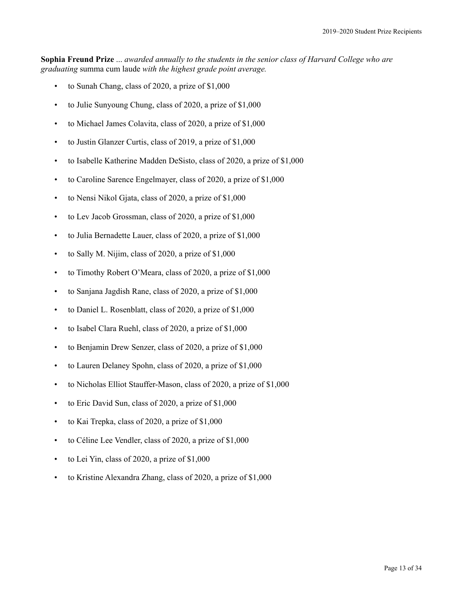**Sophia Freund Prize** ... *awarded annually to the students in the senior class of Harvard College who are graduating* summa cum laude *with the highest grade point average.*

- to Sunah Chang, class of 2020, a prize of \$1,000
- to Julie Sunyoung Chung, class of 2020, a prize of \$1,000
- to Michael James Colavita, class of 2020, a prize of \$1,000
- to Justin Glanzer Curtis, class of 2019, a prize of \$1,000
- to Isabelle Katherine Madden DeSisto, class of 2020, a prize of \$1,000
- to Caroline Sarence Engelmayer, class of 2020, a prize of \$1,000
- to Nensi Nikol Gjata, class of 2020, a prize of \$1,000
- to Lev Jacob Grossman, class of 2020, a prize of \$1,000
- to Julia Bernadette Lauer, class of 2020, a prize of \$1,000
- to Sally M. Nijim, class of 2020, a prize of \$1,000
- to Timothy Robert O'Meara, class of 2020, a prize of \$1,000
- to Sanjana Jagdish Rane, class of 2020, a prize of \$1,000
- to Daniel L. Rosenblatt, class of 2020, a prize of \$1,000
- to Isabel Clara Ruehl, class of 2020, a prize of \$1,000
- to Benjamin Drew Senzer, class of 2020, a prize of \$1,000
- to Lauren Delaney Spohn, class of 2020, a prize of \$1,000
- to Nicholas Elliot Stauffer-Mason, class of 2020, a prize of \$1,000
- to Eric David Sun, class of 2020, a prize of \$1,000
- to Kai Trepka, class of 2020, a prize of \$1,000
- to Céline Lee Vendler, class of 2020, a prize of \$1,000
- to Lei Yin, class of 2020, a prize of \$1,000
- to Kristine Alexandra Zhang, class of 2020, a prize of \$1,000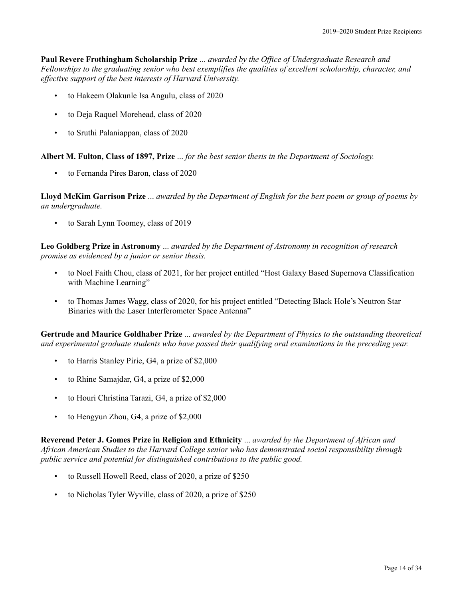**Paul Revere Frothingham Scholarship Prize** ... *awarded by the Office of Undergraduate Research and Fellowships to the graduating senior who best exemplifies the qualities of excellent scholarship, character, and effective support of the best interests of Harvard University.*

- to Hakeem Olakunle Isa Angulu, class of 2020
- to Deja Raquel Morehead, class of 2020
- to Sruthi Palaniappan, class of 2020

**Albert M. Fulton, Class of 1897, Prize** ... *for the best senior thesis in the Department of Sociology.*

• to Fernanda Pires Baron, class of 2020

**Lloyd McKim Garrison Prize** ... *awarded by the Department of English for the best poem or group of poems by an undergraduate.*

• to Sarah Lynn Toomey, class of 2019

**Leo Goldberg Prize in Astronomy** ... *awarded by the Department of Astronomy in recognition of research promise as evidenced by a junior or senior thesis.*

- to Noel Faith Chou, class of 2021, for her project entitled "Host Galaxy Based Supernova Classification with Machine Learning"
- to Thomas James Wagg, class of 2020, for his project entitled "Detecting Black Hole's Neutron Star Binaries with the Laser Interferometer Space Antenna"

**Gertrude and Maurice Goldhaber Prize** ... *awarded by the Department of Physics to the outstanding theoretical and experimental graduate students who have passed their qualifying oral examinations in the preceding year.*

- to Harris Stanley Pirie, G4, a prize of \$2,000
- to Rhine Samajdar, G4, a prize of \$2,000
- to Houri Christina Tarazi, G4, a prize of \$2,000
- to Hengyun Zhou, G4, a prize of \$2,000

**Reverend Peter J. Gomes Prize in Religion and Ethnicity** ... *awarded by the Department of African and African American Studies to the Harvard College senior who has demonstrated social responsibility through public service and potential for distinguished contributions to the public good.*

- to Russell Howell Reed, class of 2020, a prize of \$250
- to Nicholas Tyler Wyville, class of 2020, a prize of \$250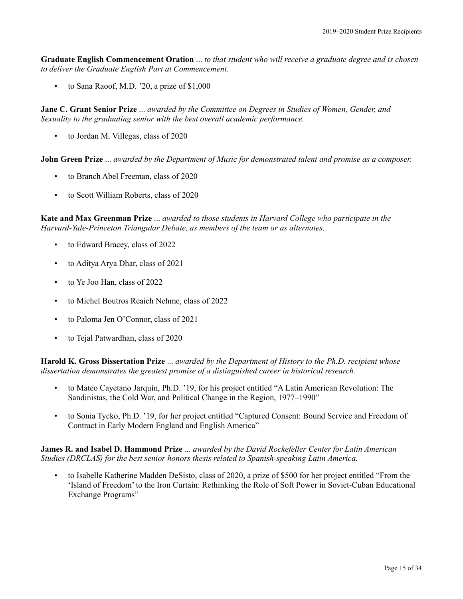**Graduate English Commencement Oration** ... *to that student who will receive a graduate degree and is chosen to deliver the Graduate English Part at Commencement.*

• to Sana Raoof, M.D. '20, a prize of \$1,000

**Jane C. Grant Senior Prize** ... *awarded by the Committee on Degrees in Studies of Women, Gender, and Sexuality to the graduating senior with the best overall academic performance.*

• to Jordan M. Villegas, class of 2020

**John Green Prize** ... *awarded by the Department of Music for demonstrated talent and promise as a composer.*

- to Branch Abel Freeman, class of 2020
- to Scott William Roberts, class of 2020

**Kate and Max Greenman Prize** ... *awarded to those students in Harvard College who participate in the Harvard-Yale-Princeton Triangular Debate, as members of the team or as alternates.*

- to Edward Bracey, class of 2022
- to Aditya Arya Dhar, class of 2021
- to Ye Joo Han, class of 2022
- to Michel Boutros Reaich Nehme, class of 2022
- to Paloma Jen O'Connor, class of 2021
- to Tejal Patwardhan, class of 2020

**Harold K. Gross Dissertation Prize** ... *awarded by the Department of History to the Ph.D. recipient whose dissertation demonstrates the greatest promise of a distinguished career in historical research.*

- to Mateo Cayetano Jarquín, Ph.D. '19, for his project entitled "A Latin American Revolution: The Sandinistas, the Cold War, and Political Change in the Region, 1977–1990"
- to Sonia Tycko, Ph.D. '19, for her project entitled "Captured Consent: Bound Service and Freedom of Contract in Early Modern England and English America"

**James R. and Isabel D. Hammond Prize** ... *awarded by the David Rockefeller Center for Latin American Studies (DRCLAS) for the best senior honors thesis related to Spanish-speaking Latin America.*

• to Isabelle Katherine Madden DeSisto, class of 2020, a prize of \$500 for her project entitled "From the 'Island of Freedom' to the Iron Curtain: Rethinking the Role of Soft Power in Soviet-Cuban Educational Exchange Programs"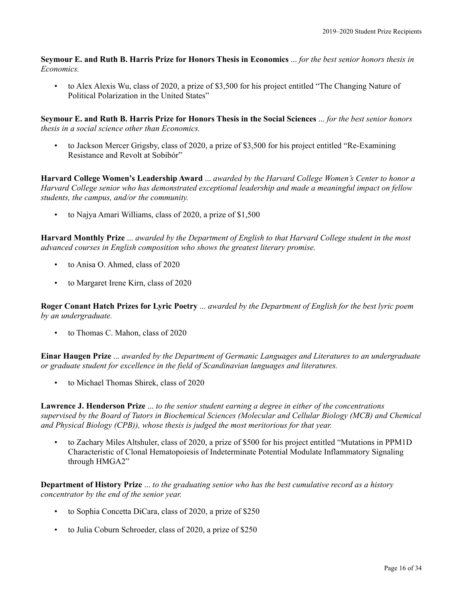**Seymour E. and Ruth B. Harris Prize for Honors Thesis in Economics** ... *for the best senior honors thesis in Economics.*

• to Alex Alexis Wu, class of 2020, a prize of \$3,500 for his project entitled "The Changing Nature of Political Polarization in the United States"

**Seymour E. and Ruth B. Harris Prize for Honors Thesis in the Social Sciences** ... *for the best senior honors thesis in a social science other than Economics.*

• to Jackson Mercer Grigsby, class of 2020, a prize of \$3,500 for his project entitled "Re-Examining Resistance and Revolt at Sobibór"

**Harvard College Women's Leadership Award** ... *awarded by the Harvard College Women's Center to honor a Harvard College senior who has demonstrated exceptional leadership and made a meaningful impact on fellow students, the campus, and/or the community.*

• to Najya Amari Williams, class of 2020, a prize of \$1,500

**Harvard Monthly Prize** ... *awarded by the Department of English to that Harvard College student in the most advanced courses in English composition who shows the greatest literary promise.*

- to Anisa O. Ahmed, class of 2020
- to Margaret Irene Kirn, class of 2020

**Roger Conant Hatch Prizes for Lyric Poetry** ... *awarded by the Department of English for the best lyric poem by an undergraduate.*

• to Thomas C. Mahon, class of 2020

**Einar Haugen Prize** ... *awarded by the Department of Germanic Languages and Literatures to an undergraduate or graduate student for excellence in the field of Scandinavian languages and literatures.*

• to Michael Thomas Shirek, class of 2020

**Lawrence J. Henderson Prize** ... *to the senior student earning a degree in either of the concentrations supervised by the Board of Tutors in Biochemical Sciences (Molecular and Cellular Biology (MCB) and Chemical and Physical Biology (CPB)), whose thesis is judged the most meritorious for that year.*

• to Zachary Miles Altshuler, class of 2020, a prize of \$500 for his project entitled "Mutations in PPM1D Characteristic of Clonal Hematopoiesis of Indeterminate Potential Modulate Inflammatory Signaling through HMGA2"

**Department of History Prize** ... *to the graduating senior who has the best cumulative record as a history concentrator by the end of the senior year.*

- to Sophia Concetta DiCara, class of 2020, a prize of \$250
- to Julia Coburn Schroeder, class of 2020, a prize of \$250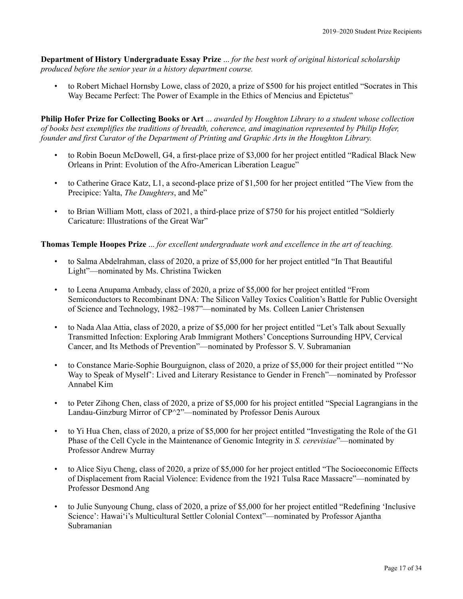**Department of History Undergraduate Essay Prize** ... *for the best work of original historical scholarship produced before the senior year in a history department course.*

• to Robert Michael Hornsby Lowe, class of 2020, a prize of \$500 for his project entitled "Socrates in This Way Became Perfect: The Power of Example in the Ethics of Mencius and Epictetus"

**Philip Hofer Prize for Collecting Books or Art** ... *awarded by Houghton Library to a student whose collection of books best exemplifies the traditions of breadth, coherence, and imagination represented by Philip Hofer, founder and first Curator of the Department of Printing and Graphic Arts in the Houghton Library.*

- to Robin Boeun McDowell, G4, a first-place prize of \$3,000 for her project entitled "Radical Black New Orleans in Print: Evolution of the Afro-American Liberation League"
- to Catherine Grace Katz, L1, a second-place prize of \$1,500 for her project entitled "The View from the Precipice: Yalta, *The Daughters*, and Me"
- to Brian William Mott, class of 2021, a third-place prize of \$750 for his project entitled "Soldierly Caricature: Illustrations of the Great War"

## **Thomas Temple Hoopes Prize** ... *for excellent undergraduate work and excellence in the art of teaching.*

- to Salma Abdelrahman, class of 2020, a prize of \$5,000 for her project entitled "In That Beautiful Light"—nominated by Ms. Christina Twicken
- to Leena Anupama Ambady, class of 2020, a prize of \$5,000 for her project entitled "From Semiconductors to Recombinant DNA: The Silicon Valley Toxics Coalition's Battle for Public Oversight of Science and Technology, 1982–1987"—nominated by Ms. Colleen Lanier Christensen
- to Nada Alaa Attia, class of 2020, a prize of \$5,000 for her project entitled "Let's Talk about Sexually Transmitted Infection: Exploring Arab Immigrant Mothers' Conceptions Surrounding HPV, Cervical Cancer, and Its Methods of Prevention"—nominated by Professor S. V. Subramanian
- to Constance Marie-Sophie Bourguignon, class of 2020, a prize of \$5,000 for their project entitled "'No Way to Speak of Myself': Lived and Literary Resistance to Gender in French"—nominated by Professor Annabel Kim
- to Peter Zihong Chen, class of 2020, a prize of \$5,000 for his project entitled "Special Lagrangians in the Landau-Ginzburg Mirror of CP^2"—nominated by Professor Denis Auroux
- to Yi Hua Chen, class of 2020, a prize of \$5,000 for her project entitled "Investigating the Role of the G1 Phase of the Cell Cycle in the Maintenance of Genomic Integrity in *S. cerevisiae*"—nominated by Professor Andrew Murray
- to Alice Siyu Cheng, class of 2020, a prize of \$5,000 for her project entitled "The Socioeconomic Effects of Displacement from Racial Violence: Evidence from the 1921 Tulsa Race Massacre"—nominated by Professor Desmond Ang
- to Julie Sunyoung Chung, class of 2020, a prize of \$5,000 for her project entitled "Redefining 'Inclusive Science': Hawai'i's Multicultural Settler Colonial Context"—nominated by Professor Ajantha Subramanian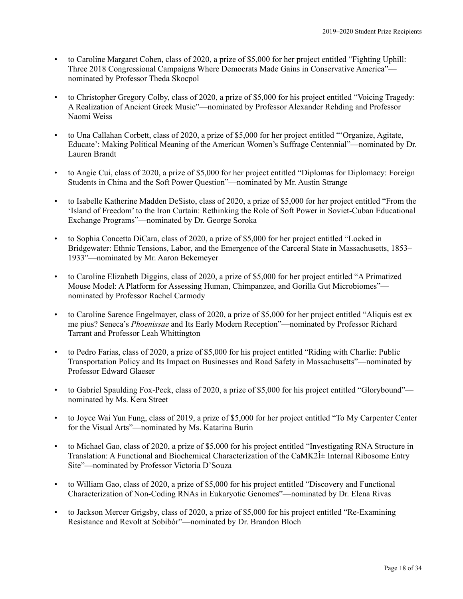- to Caroline Margaret Cohen, class of 2020, a prize of \$5,000 for her project entitled "Fighting Uphill: Three 2018 Congressional Campaigns Where Democrats Made Gains in Conservative America" nominated by Professor Theda Skocpol
- to Christopher Gregory Colby, class of 2020, a prize of \$5,000 for his project entitled "Voicing Tragedy: A Realization of Ancient Greek Music"—nominated by Professor Alexander Rehding and Professor Naomi Weiss
- to Una Callahan Corbett, class of 2020, a prize of \$5,000 for her project entitled "'Organize, Agitate, Educate': Making Political Meaning of the American Women's Suffrage Centennial"—nominated by Dr. Lauren Brandt
- to Angie Cui, class of 2020, a prize of \$5,000 for her project entitled "Diplomas for Diplomacy: Foreign Students in China and the Soft Power Question"—nominated by Mr. Austin Strange
- to Isabelle Katherine Madden DeSisto, class of 2020, a prize of \$5,000 for her project entitled "From the 'Island of Freedom' to the Iron Curtain: Rethinking the Role of Soft Power in Soviet-Cuban Educational Exchange Programs"—nominated by Dr. George Soroka
- to Sophia Concetta DiCara, class of 2020, a prize of \$5,000 for her project entitled "Locked in Bridgewater: Ethnic Tensions, Labor, and the Emergence of the Carceral State in Massachusetts, 1853– 1933"—nominated by Mr. Aaron Bekemeyer
- to Caroline Elizabeth Diggins, class of 2020, a prize of \$5,000 for her project entitled "A Primatized Mouse Model: A Platform for Assessing Human, Chimpanzee, and Gorilla Gut Microbiomes" nominated by Professor Rachel Carmody
- to Caroline Sarence Engelmayer, class of 2020, a prize of \$5,000 for her project entitled "Aliquis est ex me pius? Seneca's *Phoenissae* and Its Early Modern Reception"—nominated by Professor Richard Tarrant and Professor Leah Whittington
- to Pedro Farias, class of 2020, a prize of \$5,000 for his project entitled "Riding with Charlie: Public Transportation Policy and Its Impact on Businesses and Road Safety in Massachusetts"—nominated by Professor Edward Glaeser
- to Gabriel Spaulding Fox-Peck, class of 2020, a prize of \$5,000 for his project entitled "Glorybound" nominated by Ms. Kera Street
- to Joyce Wai Yun Fung, class of 2019, a prize of \$5,000 for her project entitled "To My Carpenter Center for the Visual Arts"—nominated by Ms. Katarina Burin
- to Michael Gao, class of 2020, a prize of \$5,000 for his project entitled "Investigating RNA Structure in Translation: A Functional and Biochemical Characterization of the CaMK2 $\hat{I}$ ± Internal Ribosome Entry Site"—nominated by Professor Victoria D'Souza
- to William Gao, class of 2020, a prize of \$5,000 for his project entitled "Discovery and Functional Characterization of Non-Coding RNAs in Eukaryotic Genomes"—nominated by Dr. Elena Rivas
- to Jackson Mercer Grigsby, class of 2020, a prize of \$5,000 for his project entitled "Re-Examining Resistance and Revolt at Sobibór"—nominated by Dr. Brandon Bloch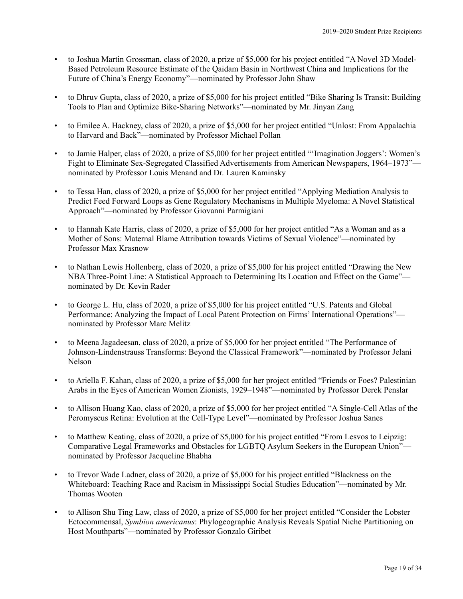- to Joshua Martin Grossman, class of 2020, a prize of \$5,000 for his project entitled "A Novel 3D Model-Based Petroleum Resource Estimate of the Qaidam Basin in Northwest China and Implications for the Future of China's Energy Economy"—nominated by Professor John Shaw
- to Dhruv Gupta, class of 2020, a prize of \$5,000 for his project entitled "Bike Sharing Is Transit: Building Tools to Plan and Optimize Bike-Sharing Networks"—nominated by Mr. Jinyan Zang
- to Emilee A. Hackney, class of 2020, a prize of \$5,000 for her project entitled "Unlost: From Appalachia to Harvard and Back"—nominated by Professor Michael Pollan
- to Jamie Halper, class of 2020, a prize of \$5,000 for her project entitled "'Imagination Joggers': Women's Fight to Eliminate Sex-Segregated Classified Advertisements from American Newspapers, 1964–1973" nominated by Professor Louis Menand and Dr. Lauren Kaminsky
- to Tessa Han, class of 2020, a prize of \$5,000 for her project entitled "Applying Mediation Analysis to Predict Feed Forward Loops as Gene Regulatory Mechanisms in Multiple Myeloma: A Novel Statistical Approach"—nominated by Professor Giovanni Parmigiani
- to Hannah Kate Harris, class of 2020, a prize of \$5,000 for her project entitled "As a Woman and as a Mother of Sons: Maternal Blame Attribution towards Victims of Sexual Violence"—nominated by Professor Max Krasnow
- to Nathan Lewis Hollenberg, class of 2020, a prize of \$5,000 for his project entitled "Drawing the New NBA Three-Point Line: A Statistical Approach to Determining Its Location and Effect on the Game" nominated by Dr. Kevin Rader
- to George L. Hu, class of 2020, a prize of \$5,000 for his project entitled "U.S. Patents and Global Performance: Analyzing the Impact of Local Patent Protection on Firms' International Operations" nominated by Professor Marc Melitz
- to Meena Jagadeesan, class of 2020, a prize of \$5,000 for her project entitled "The Performance of Johnson-Lindenstrauss Transforms: Beyond the Classical Framework"—nominated by Professor Jelani Nelson
- to Ariella F. Kahan, class of 2020, a prize of \$5,000 for her project entitled "Friends or Foes? Palestinian Arabs in the Eyes of American Women Zionists, 1929–1948"—nominated by Professor Derek Penslar
- to Allison Huang Kao, class of 2020, a prize of \$5,000 for her project entitled "A Single-Cell Atlas of the Peromyscus Retina: Evolution at the Cell-Type Level"—nominated by Professor Joshua Sanes
- to Matthew Keating, class of 2020, a prize of \$5,000 for his project entitled "From Lesvos to Leipzig: Comparative Legal Frameworks and Obstacles for LGBTQ Asylum Seekers in the European Union" nominated by Professor Jacqueline Bhabha
- to Trevor Wade Ladner, class of 2020, a prize of \$5,000 for his project entitled "Blackness on the Whiteboard: Teaching Race and Racism in Mississippi Social Studies Education"—nominated by Mr. Thomas Wooten
- to Allison Shu Ting Law, class of 2020, a prize of \$5,000 for her project entitled "Consider the Lobster Ectocommensal, *Symbion americanus*: Phylogeographic Analysis Reveals Spatial Niche Partitioning on Host Mouthparts"—nominated by Professor Gonzalo Giribet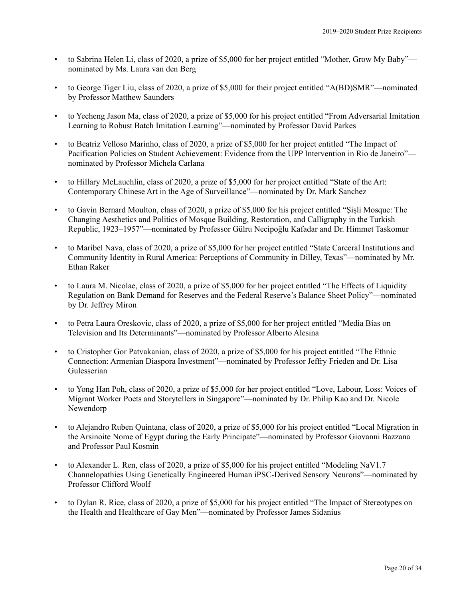- to Sabrina Helen Li, class of 2020, a prize of \$5,000 for her project entitled "Mother, Grow My Baby" nominated by Ms. Laura van den Berg
- to George Tiger Liu, class of 2020, a prize of \$5,000 for their project entitled "A(BD)SMR"—nominated by Professor Matthew Saunders
- to Yecheng Jason Ma, class of 2020, a prize of \$5,000 for his project entitled "From Adversarial Imitation Learning to Robust Batch Imitation Learning"—nominated by Professor David Parkes
- to Beatriz Velloso Marinho, class of 2020, a prize of \$5,000 for her project entitled "The Impact of Pacification Policies on Student Achievement: Evidence from the UPP Intervention in Rio de Janeiro" nominated by Professor Michela Carlana
- to Hillary McLauchlin, class of 2020, a prize of \$5,000 for her project entitled "State of the Art: Contemporary Chinese Art in the Age of Surveillance"—nominated by Dr. Mark Sanchez
- to Gavin Bernard Moulton, class of 2020, a prize of \$5,000 for his project entitled "Şişli Mosque: The Changing Aesthetics and Politics of Mosque Building, Restoration, and Calligraphy in the Turkish Republic, 1923–1957"—nominated by Professor Gülru Necipoğlu Kafadar and Dr. Himmet Taskomur
- to Maribel Nava, class of 2020, a prize of \$5,000 for her project entitled "State Carceral Institutions and Community Identity in Rural America: Perceptions of Community in Dilley, Texas"—nominated by Mr. Ethan Raker
- to Laura M. Nicolae, class of 2020, a prize of \$5,000 for her project entitled "The Effects of Liquidity Regulation on Bank Demand for Reserves and the Federal Reserve's Balance Sheet Policy"—nominated by Dr. Jeffrey Miron
- to Petra Laura Oreskovic, class of 2020, a prize of \$5,000 for her project entitled "Media Bias on Television and Its Determinants"—nominated by Professor Alberto Alesina
- to Cristopher Gor Patvakanian, class of 2020, a prize of \$5,000 for his project entitled "The Ethnic Connection: Armenian Diaspora Investment"—nominated by Professor Jeffry Frieden and Dr. Lisa Gulesserian
- to Yong Han Poh, class of 2020, a prize of \$5,000 for her project entitled "Love, Labour, Loss: Voices of Migrant Worker Poets and Storytellers in Singapore"—nominated by Dr. Philip Kao and Dr. Nicole Newendorp
- to Alejandro Ruben Quintana, class of 2020, a prize of \$5,000 for his project entitled "Local Migration in the Arsinoite Nome of Egypt during the Early Principate"—nominated by Professor Giovanni Bazzana and Professor Paul Kosmin
- to Alexander L. Ren, class of 2020, a prize of \$5,000 for his project entitled "Modeling NaV1.7 Channelopathies Using Genetically Engineered Human iPSC-Derived Sensory Neurons"—nominated by Professor Clifford Woolf
- to Dylan R. Rice, class of 2020, a prize of \$5,000 for his project entitled "The Impact of Stereotypes on the Health and Healthcare of Gay Men"—nominated by Professor James Sidanius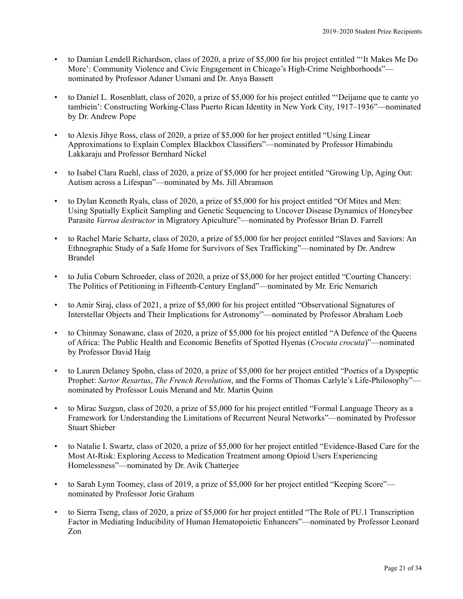- to Damian Lendell Richardson, class of 2020, a prize of \$5,000 for his project entitled "'It Makes Me Do More': Community Violence and Civic Engagement in Chicago's High-Crime Neighborhoods" nominated by Professor Adaner Usmani and Dr. Anya Bassett
- to Daniel L. Rosenblatt, class of 2020, a prize of \$5,000 for his project entitled "'Deìjame que te cante yo tambieìn': Constructing Working-Class Puerto Rican Identity in New York City, 1917–1936"—nominated by Dr. Andrew Pope
- to Alexis Jihye Ross, class of 2020, a prize of \$5,000 for her project entitled "Using Linear Approximations to Explain Complex Blackbox Classifiers"—nominated by Professor Himabindu Lakkaraju and Professor Bernhard Nickel
- to Isabel Clara Ruehl, class of 2020, a prize of \$5,000 for her project entitled "Growing Up, Aging Out: Autism across a Lifespan"—nominated by Ms. Jill Abramson
- to Dylan Kenneth Ryals, class of 2020, a prize of \$5,000 for his project entitled "Of Mites and Men: Using Spatially Explicit Sampling and Genetic Sequencing to Uncover Disease Dynamics of Honeybee Parasite *Varroa destructor* in Migratory Apiculture"—nominated by Professor Brian D. Farrell
- to Rachel Marie Schartz, class of 2020, a prize of \$5,000 for her project entitled "Slaves and Saviors: An Ethnographic Study of a Safe Home for Survivors of Sex Trafficking"—nominated by Dr. Andrew Brandel
- to Julia Coburn Schroeder, class of 2020, a prize of \$5,000 for her project entitled "Courting Chancery: The Politics of Petitioning in Fifteenth-Century England"—nominated by Mr. Eric Nemarich
- to Amir Siraj, class of 2021, a prize of \$5,000 for his project entitled "Observational Signatures of Interstellar Objects and Their Implications for Astronomy"—nominated by Professor Abraham Loeb
- to Chinmay Sonawane, class of 2020, a prize of \$5,000 for his project entitled "A Defence of the Queens of Africa: The Public Health and Economic Benefits of Spotted Hyenas (*Crocuta crocuta*)"—nominated by Professor David Haig
- to Lauren Delaney Spohn, class of 2020, a prize of \$5,000 for her project entitled "Poetics of a Dyspeptic Prophet: *Sartor Resartus*, *The French Revolution*, and the Forms of Thomas Carlyle's Life-Philosophy" nominated by Professor Louis Menand and Mr. Martin Quinn
- to Mirac Suzgun, class of 2020, a prize of \$5,000 for his project entitled "Formal Language Theory as a Framework for Understanding the Limitations of Recurrent Neural Networks"—nominated by Professor Stuart Shieber
- to Natalie I. Swartz, class of 2020, a prize of \$5,000 for her project entitled "Evidence-Based Care for the Most At-Risk: Exploring Access to Medication Treatment among Opioid Users Experiencing Homelessness"—nominated by Dr. Avik Chatterjee
- to Sarah Lynn Toomey, class of 2019, a prize of \$5,000 for her project entitled "Keeping Score" nominated by Professor Jorie Graham
- to Sierra Tseng, class of 2020, a prize of \$5,000 for her project entitled "The Role of PU.1 Transcription Factor in Mediating Inducibility of Human Hematopoietic Enhancers"—nominated by Professor Leonard Zon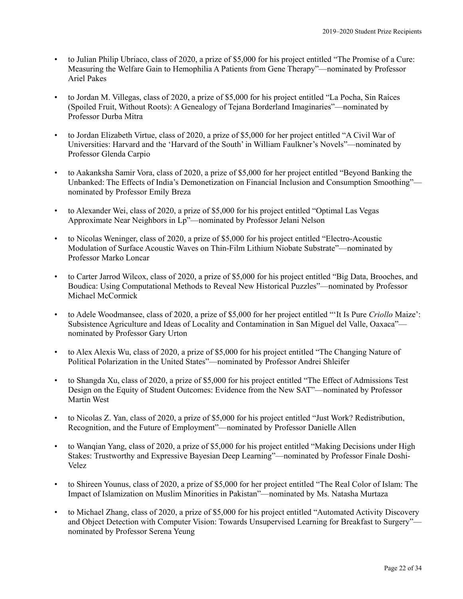- to Julian Philip Ubriaco, class of 2020, a prize of \$5,000 for his project entitled "The Promise of a Cure: Measuring the Welfare Gain to Hemophilia A Patients from Gene Therapy"—nominated by Professor Ariel Pakes
- to Jordan M. Villegas, class of 2020, a prize of \$5,000 for his project entitled "La Pocha, Sin Raíces (Spoiled Fruit, Without Roots): A Genealogy of Tejana Borderland Imaginaries"—nominated by Professor Durba Mitra
- to Jordan Elizabeth Virtue, class of 2020, a prize of \$5,000 for her project entitled "A Civil War of Universities: Harvard and the 'Harvard of the South' in William Faulkner's Novels"—nominated by Professor Glenda Carpio
- to Aakanksha Samir Vora, class of 2020, a prize of \$5,000 for her project entitled "Beyond Banking the Unbanked: The Effects of India's Demonetization on Financial Inclusion and Consumption Smoothing" nominated by Professor Emily Breza
- to Alexander Wei, class of 2020, a prize of \$5,000 for his project entitled "Optimal Las Vegas Approximate Near Neighbors in Lp"—nominated by Professor Jelani Nelson
- to Nicolas Weninger, class of 2020, a prize of \$5,000 for his project entitled "Electro-Acoustic Modulation of Surface Acoustic Waves on Thin-Film Lithium Niobate Substrate"—nominated by Professor Marko Loncar
- to Carter Jarrod Wilcox, class of 2020, a prize of \$5,000 for his project entitled "Big Data, Brooches, and Boudica: Using Computational Methods to Reveal New Historical Puzzles"—nominated by Professor Michael McCormick
- to Adele Woodmansee, class of 2020, a prize of \$5,000 for her project entitled "'It Is Pure *Criollo* Maize': Subsistence Agriculture and Ideas of Locality and Contamination in San Miguel del Valle, Oaxaca" nominated by Professor Gary Urton
- to Alex Alexis Wu, class of 2020, a prize of \$5,000 for his project entitled "The Changing Nature of Political Polarization in the United States"—nominated by Professor Andrei Shleifer
- to Shangda Xu, class of 2020, a prize of \$5,000 for his project entitled "The Effect of Admissions Test Design on the Equity of Student Outcomes: Evidence from the New SAT"—nominated by Professor Martin West
- to Nicolas Z. Yan, class of 2020, a prize of \$5,000 for his project entitled "Just Work? Redistribution, Recognition, and the Future of Employment"—nominated by Professor Danielle Allen
- to Wanqian Yang, class of 2020, a prize of \$5,000 for his project entitled "Making Decisions under High Stakes: Trustworthy and Expressive Bayesian Deep Learning"—nominated by Professor Finale Doshi-Velez
- to Shireen Younus, class of 2020, a prize of \$5,000 for her project entitled "The Real Color of Islam: The Impact of Islamization on Muslim Minorities in Pakistan"—nominated by Ms. Natasha Murtaza
- to Michael Zhang, class of 2020, a prize of \$5,000 for his project entitled "Automated Activity Discovery and Object Detection with Computer Vision: Towards Unsupervised Learning for Breakfast to Surgery" nominated by Professor Serena Yeung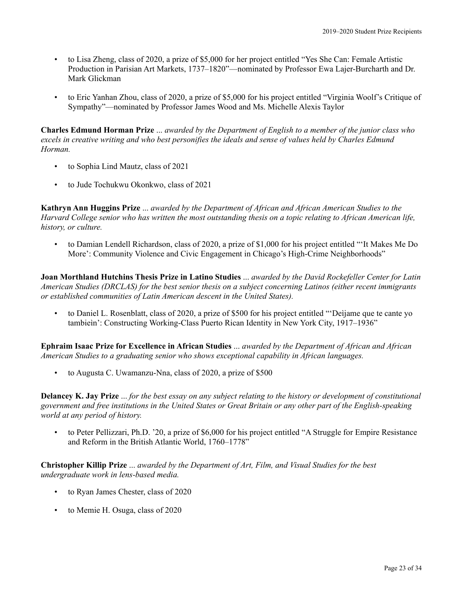- to Lisa Zheng, class of 2020, a prize of \$5,000 for her project entitled "Yes She Can: Female Artistic Production in Parisian Art Markets, 1737–1820"—nominated by Professor Ewa Lajer-Burcharth and Dr. Mark Glickman
- to Eric Yanhan Zhou, class of 2020, a prize of \$5,000 for his project entitled "Virginia Woolf's Critique of Sympathy"—nominated by Professor James Wood and Ms. Michelle Alexis Taylor

**Charles Edmund Horman Prize** ... *awarded by the Department of English to a member of the junior class who excels in creative writing and who best personifies the ideals and sense of values held by Charles Edmund Horman.*

- to Sophia Lind Mautz, class of 2021
- to Jude Tochukwu Okonkwo, class of 2021

**Kathryn Ann Huggins Prize** ... *awarded by the Department of African and African American Studies to the Harvard College senior who has written the most outstanding thesis on a topic relating to African American life, history, or culture.*

• to Damian Lendell Richardson, class of 2020, a prize of \$1,000 for his project entitled "'It Makes Me Do More': Community Violence and Civic Engagement in Chicago's High-Crime Neighborhoods"

**Joan Morthland Hutchins Thesis Prize in Latino Studies** ... *awarded by the David Rockefeller Center for Latin American Studies (DRCLAS) for the best senior thesis on a subject concerning Latinos (either recent immigrants or established communities of Latin American descent in the United States).*

• to Daniel L. Rosenblatt, class of 2020, a prize of \$500 for his project entitled "'Deìjame que te cante yo tambieìn': Constructing Working-Class Puerto Rican Identity in New York City, 1917–1936"

**Ephraim Isaac Prize for Excellence in African Studies** ... *awarded by the Department of African and African American Studies to a graduating senior who shows exceptional capability in African languages.*

• to Augusta C. Uwamanzu-Nna, class of 2020, a prize of \$500

**Delancey K. Jay Prize** ... *for the best essay on any subject relating to the history or development of constitutional government and free institutions in the United States or Great Britain or any other part of the English-speaking world at any period of history.*

• to Peter Pellizzari, Ph.D. '20, a prize of \$6,000 for his project entitled "A Struggle for Empire Resistance and Reform in the British Atlantic World, 1760–1778"

**Christopher Killip Prize** ... *awarded by the Department of Art, Film, and Visual Studies for the best undergraduate work in lens-based media.*

- to Ryan James Chester, class of 2020
- to Memie H. Osuga, class of 2020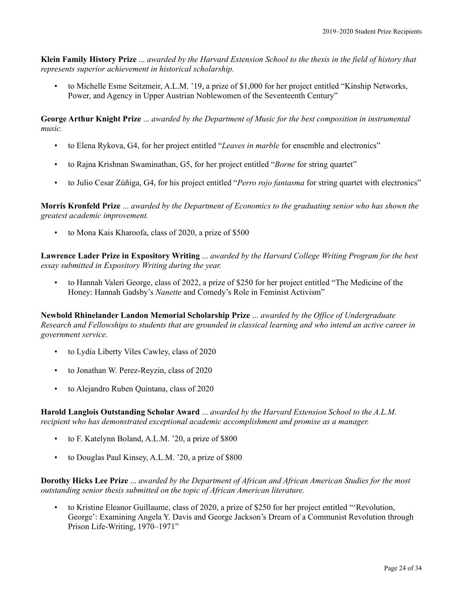**Klein Family History Prize** ... *awarded by the Harvard Extension School to the thesis in the field of history that represents superior achievement in historical scholarship.*

• to Michelle Esme Seitzmeir, A.L.M. '19, a prize of \$1,000 for her project entitled "Kinship Networks, Power, and Agency in Upper Austrian Noblewomen of the Seventeenth Century"

**George Arthur Knight Prize** ... *awarded by the Department of Music for the best composition in instrumental music.*

- to Elena Rykova, G4, for her project entitled "*Leaves in marble* for ensemble and electronics"
- to Rajna Krishnan Swaminathan, G5, for her project entitled "*Borne* for string quartet"
- to Julio Cesar Zúñiga, G4, for his project entitled "*Perro rojo fantasma* for string quartet with electronics"

**Morris Kronfeld Prize** ... *awarded by the Department of Economics to the graduating senior who has shown the greatest academic improvement.*

• to Mona Kais Kharoofa, class of 2020, a prize of \$500

**Lawrence Lader Prize in Expository Writing** ... *awarded by the Harvard College Writing Program for the best essay submitted in Expository Writing during the year.*

• to Hannah Valeri George, class of 2022, a prize of \$250 for her project entitled "The Medicine of the Honey: Hannah Gadsby's *Nanette* and Comedy's Role in Feminist Activism"

**Newbold Rhinelander Landon Memorial Scholarship Prize** ... *awarded by the Office of Undergraduate Research and Fellowships to students that are grounded in classical learning and who intend an active career in government service.*

- to Lydia Liberty Viles Cawley, class of 2020
- to Jonathan W. Perez-Reyzin, class of 2020
- to Alejandro Ruben Quintana, class of 2020

**Harold Langlois Outstanding Scholar Award** ... *awarded by the Harvard Extension School to the A.L.M. recipient who has demonstrated exceptional academic accomplishment and promise as a manager.*

- to F. Katelynn Boland, A.L.M. '20, a prize of \$800
- to Douglas Paul Kinsey, A.L.M. '20, a prize of \$800

**Dorothy Hicks Lee Prize** ... *awarded by the Department of African and African American Studies for the most outstanding senior thesis submitted on the topic of African American literature.*

• to Kristine Eleanor Guillaume, class of 2020, a prize of \$250 for her project entitled "'Revolution, George': Examining Angela Y. Davis and George Jackson's Dream of a Communist Revolution through Prison Life-Writing, 1970–1971"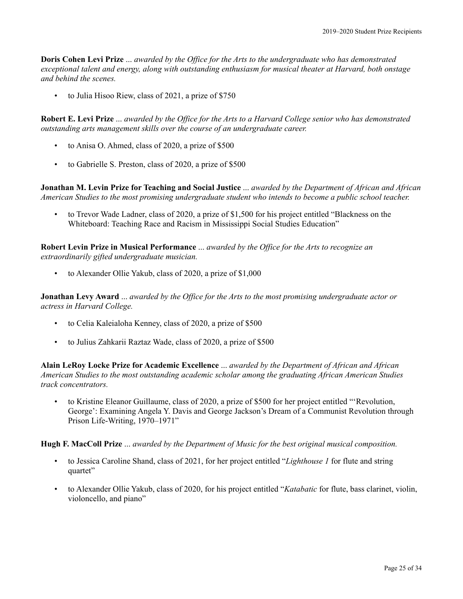**Doris Cohen Levi Prize** ... *awarded by the Office for the Arts to the undergraduate who has demonstrated exceptional talent and energy, along with outstanding enthusiasm for musical theater at Harvard, both onstage and behind the scenes.*

• to Julia Hisoo Riew, class of 2021, a prize of \$750

**Robert E. Levi Prize** ... *awarded by the Office for the Arts to a Harvard College senior who has demonstrated outstanding arts management skills over the course of an undergraduate career.*

- to Anisa O. Ahmed, class of 2020, a prize of \$500
- to Gabrielle S. Preston, class of 2020, a prize of \$500

**Jonathan M. Levin Prize for Teaching and Social Justice** ... *awarded by the Department of African and African American Studies to the most promising undergraduate student who intends to become a public school teacher.*

• to Trevor Wade Ladner, class of 2020, a prize of \$1,500 for his project entitled "Blackness on the Whiteboard: Teaching Race and Racism in Mississippi Social Studies Education"

**Robert Levin Prize in Musical Performance** ... *awarded by the Office for the Arts to recognize an extraordinarily gifted undergraduate musician.*

• to Alexander Ollie Yakub, class of 2020, a prize of \$1,000

**Jonathan Levy Award** ... *awarded by the Office for the Arts to the most promising undergraduate actor or actress in Harvard College.*

- to Celia Kaleialoha Kenney, class of 2020, a prize of \$500
- to Julius Zahkarii Raztaz Wade, class of 2020, a prize of \$500

**Alain LeRoy Locke Prize for Academic Excellence** ... *awarded by the Department of African and African American Studies to the most outstanding academic scholar among the graduating African American Studies track concentrators.*

• to Kristine Eleanor Guillaume, class of 2020, a prize of \$500 for her project entitled "'Revolution, George': Examining Angela Y. Davis and George Jackson's Dream of a Communist Revolution through Prison Life-Writing, 1970–1971"

**Hugh F. MacColl Prize** ... *awarded by the Department of Music for the best original musical composition.*

- to Jessica Caroline Shand, class of 2021, for her project entitled "*Lighthouse 1* for flute and string quartet"
- to Alexander Ollie Yakub, class of 2020, for his project entitled "*Katabatic* for flute, bass clarinet, violin, violoncello, and piano"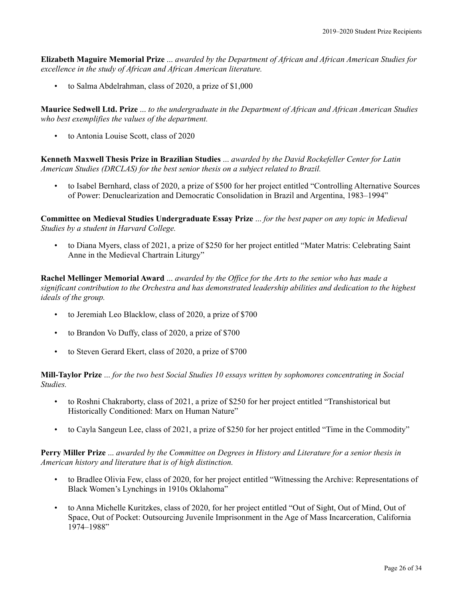**Elizabeth Maguire Memorial Prize** ... *awarded by the Department of African and African American Studies for excellence in the study of African and African American literature.*

• to Salma Abdelrahman, class of 2020, a prize of \$1,000

**Maurice Sedwell Ltd. Prize** ... *to the undergraduate in the Department of African and African American Studies who best exemplifies the values of the department.*

• to Antonia Louise Scott, class of 2020

**Kenneth Maxwell Thesis Prize in Brazilian Studies** ... *awarded by the David Rockefeller Center for Latin American Studies (DRCLAS) for the best senior thesis on a subject related to Brazil.*

• to Isabel Bernhard, class of 2020, a prize of \$500 for her project entitled "Controlling Alternative Sources of Power: Denuclearization and Democratic Consolidation in Brazil and Argentina, 1983–1994"

**Committee on Medieval Studies Undergraduate Essay Prize** ... *for the best paper on any topic in Medieval Studies by a student in Harvard College.*

• to Diana Myers, class of 2021, a prize of \$250 for her project entitled "Mater Matris: Celebrating Saint Anne in the Medieval Chartrain Liturgy"

**Rachel Mellinger Memorial Award** ... *awarded by the Office for the Arts to the senior who has made a significant contribution to the Orchestra and has demonstrated leadership abilities and dedication to the highest ideals of the group.*

- to Jeremiah Leo Blacklow, class of 2020, a prize of \$700
- to Brandon Vo Duffy, class of 2020, a prize of \$700
- to Steven Gerard Ekert, class of 2020, a prize of \$700

**Mill-Taylor Prize** ... *for the two best Social Studies 10 essays written by sophomores concentrating in Social Studies.*

- to Roshni Chakraborty, class of 2021, a prize of \$250 for her project entitled "Transhistorical but Historically Conditioned: Marx on Human Nature"
- to Cayla Sangeun Lee, class of 2021, a prize of \$250 for her project entitled "Time in the Commodity"

**Perry Miller Prize** ... *awarded by the Committee on Degrees in History and Literature for a senior thesis in American history and literature that is of high distinction.*

- to Bradlee Olivia Few, class of 2020, for her project entitled "Witnessing the Archive: Representations of Black Women's Lynchings in 1910s Oklahoma"
- to Anna Michelle Kuritzkes, class of 2020, for her project entitled "Out of Sight, Out of Mind, Out of Space, Out of Pocket: Outsourcing Juvenile Imprisonment in the Age of Mass Incarceration, California 1974–1988"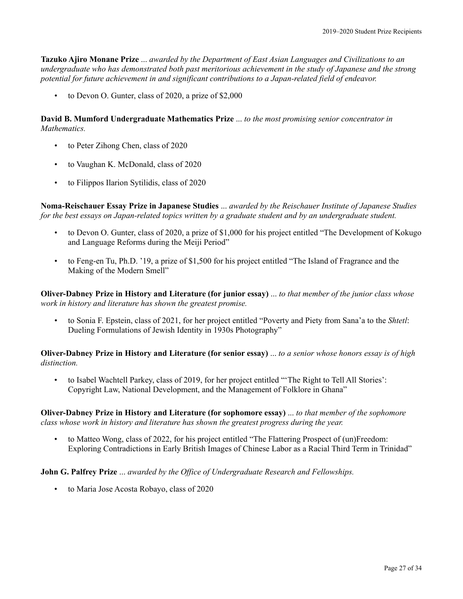**Tazuko Ajiro Monane Prize** ... *awarded by the Department of East Asian Languages and Civilizations to an undergraduate who has demonstrated both past meritorious achievement in the study of Japanese and the strong potential for future achievement in and significant contributions to a Japan-related field of endeavor.*

• to Devon O. Gunter, class of 2020, a prize of \$2,000

**David B. Mumford Undergraduate Mathematics Prize** ... *to the most promising senior concentrator in Mathematics.*

- to Peter Zihong Chen, class of 2020
- to Vaughan K. McDonald, class of 2020
- to Filippos Ilarion Sytilidis, class of 2020

**Noma-Reischauer Essay Prize in Japanese Studies** ... *awarded by the Reischauer Institute of Japanese Studies for the best essays on Japan-related topics written by a graduate student and by an undergraduate student.*

- to Devon O. Gunter, class of 2020, a prize of \$1,000 for his project entitled "The Development of Kokugo and Language Reforms during the Meiji Period"
- to Feng-en Tu, Ph.D. '19, a prize of \$1,500 for his project entitled "The Island of Fragrance and the Making of the Modern Smell"

**Oliver-Dabney Prize in History and Literature (for junior essay)** ... *to that member of the junior class whose work in history and literature has shown the greatest promise.*

• to Sonia F. Epstein, class of 2021, for her project entitled "Poverty and Piety from Sana'a to the *Shtetl*: Dueling Formulations of Jewish Identity in 1930s Photography"

**Oliver-Dabney Prize in History and Literature (for senior essay)** ... *to a senior whose honors essay is of high distinction.*

• to Isabel Wachtell Parkey, class of 2019, for her project entitled "'The Right to Tell All Stories': Copyright Law, National Development, and the Management of Folklore in Ghana"

**Oliver-Dabney Prize in History and Literature (for sophomore essay)** ... *to that member of the sophomore class whose work in history and literature has shown the greatest progress during the year.*

• to Matteo Wong, class of 2022, for his project entitled "The Flattering Prospect of (un)Freedom: Exploring Contradictions in Early British Images of Chinese Labor as a Racial Third Term in Trinidad"

**John G. Palfrey Prize** ... *awarded by the Office of Undergraduate Research and Fellowships.*

• to Maria Jose Acosta Robayo, class of 2020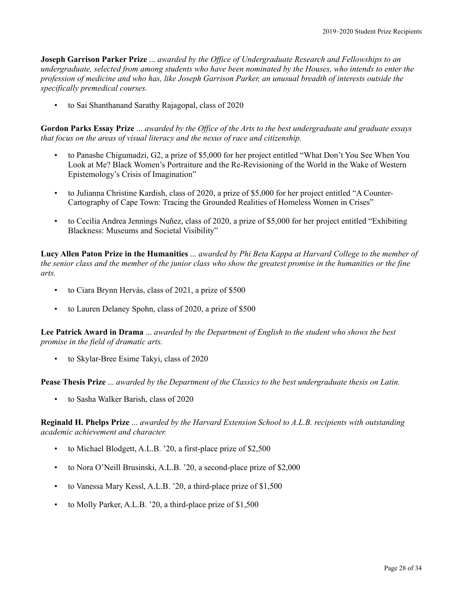**Joseph Garrison Parker Prize** ... *awarded by the Office of Undergraduate Research and Fellowships to an undergraduate, selected from among students who have been nominated by the Houses, who intends to enter the profession of medicine and who has, like Joseph Garrison Parker, an unusual breadth of interests outside the specifically premedical courses.*

• to Sai Shanthanand Sarathy Rajagopal, class of 2020

**Gordon Parks Essay Prize** ... *awarded by the Office of the Arts to the best undergraduate and graduate essays that focus on the areas of visual literacy and the nexus of race and citizenship.*

- to Panashe Chigumadzi, G2, a prize of \$5,000 for her project entitled "What Don't You See When You Look at Me? Black Women's Portraiture and the Re-Revisioning of the World in the Wake of Western Epistemology's Crisis of Imagination"
- to Julianna Christine Kardish, class of 2020, a prize of \$5,000 for her project entitled "A Counter-Cartography of Cape Town: Tracing the Grounded Realities of Homeless Women in Crises"
- to Cecilia Andrea Jennings Nuñez, class of 2020, a prize of \$5,000 for her project entitled "Exhibiting Blackness: Museums and Societal Visibility"

**Lucy Allen Paton Prize in the Humanities** ... *awarded by Phi Beta Kappa at Harvard College to the member of the senior class and the member of the junior class who show the greatest promise in the humanities or the fine arts.*

- to Ciara Brynn Hervás, class of 2021, a prize of \$500
- to Lauren Delaney Spohn, class of 2020, a prize of \$500

**Lee Patrick Award in Drama** ... *awarded by the Department of English to the student who shows the best promise in the field of dramatic arts.*

• to Skylar-Bree Esime Takyi, class of 2020

**Pease Thesis Prize** ... *awarded by the Department of the Classics to the best undergraduate thesis on Latin.*

• to Sasha Walker Barish, class of 2020

**Reginald H. Phelps Prize** ... *awarded by the Harvard Extension School to A.L.B. recipients with outstanding academic achievement and character.*

- to Michael Blodgett, A.L.B. '20, a first-place prize of \$2,500
- to Nora O'Neill Brusinski, A.L.B. '20, a second-place prize of \$2,000
- to Vanessa Mary Kessl, A.L.B. '20, a third-place prize of \$1,500
- to Molly Parker, A.L.B. '20, a third-place prize of \$1,500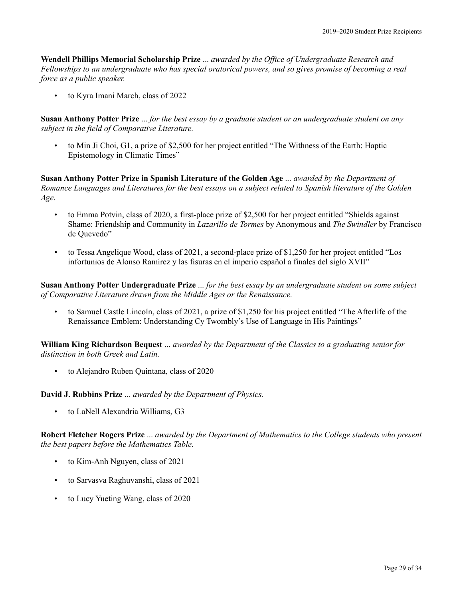**Wendell Phillips Memorial Scholarship Prize** ... *awarded by the Office of Undergraduate Research and Fellowships to an undergraduate who has special oratorical powers, and so gives promise of becoming a real force as a public speaker.*

• to Kyra Imani March, class of 2022

**Susan Anthony Potter Prize** ... *for the best essay by a graduate student or an undergraduate student on any subject in the field of Comparative Literature.*

• to Min Ji Choi, G1, a prize of \$2,500 for her project entitled "The Withness of the Earth: Haptic Epistemology in Climatic Times"

**Susan Anthony Potter Prize in Spanish Literature of the Golden Age** ... *awarded by the Department of Romance Languages and Literatures for the best essays on a subject related to Spanish literature of the Golden Age.*

- to Emma Potvin, class of 2020, a first-place prize of \$2,500 for her project entitled "Shields against Shame: Friendship and Community in *Lazarillo de Tormes* by Anonymous and *The Swindler* by Francisco de Quevedo"
- to Tessa Angelique Wood, class of 2021, a second-place prize of \$1,250 for her project entitled "Los infortunios de Alonso Ramírez y las fisuras en el imperio español a finales del siglo XVII"

**Susan Anthony Potter Undergraduate Prize** ... *for the best essay by an undergraduate student on some subject of Comparative Literature drawn from the Middle Ages or the Renaissance.*

• to Samuel Castle Lincoln, class of 2021, a prize of \$1,250 for his project entitled "The Afterlife of the Renaissance Emblem: Understanding Cy Twombly's Use of Language in His Paintings"

**William King Richardson Bequest** ... *awarded by the Department of the Classics to a graduating senior for distinction in both Greek and Latin.*

• to Alejandro Ruben Quintana, class of 2020

**David J. Robbins Prize** ... *awarded by the Department of Physics.*

• to LaNell Alexandria Williams, G3

**Robert Fletcher Rogers Prize** ... *awarded by the Department of Mathematics to the College students who present the best papers before the Mathematics Table.*

- to Kim-Anh Nguyen, class of 2021
- to Sarvasva Raghuvanshi, class of 2021
- to Lucy Yueting Wang, class of 2020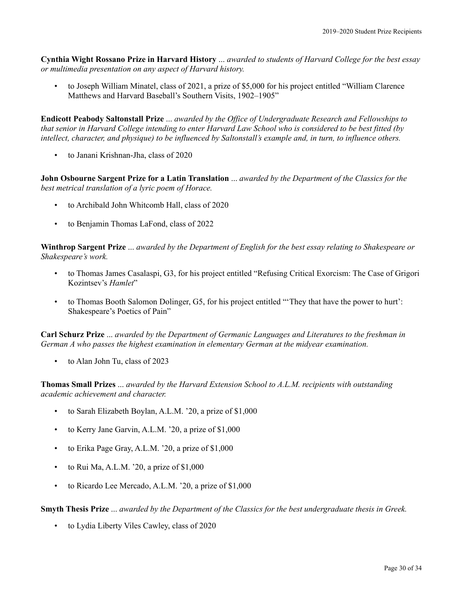**Cynthia Wight Rossano Prize in Harvard History** ... *awarded to students of Harvard College for the best essay or multimedia presentation on any aspect of Harvard history.*

• to Joseph William Minatel, class of 2021, a prize of \$5,000 for his project entitled "William Clarence Matthews and Harvard Baseball's Southern Visits, 1902–1905"

**Endicott Peabody Saltonstall Prize** ... *awarded by the Office of Undergraduate Research and Fellowships to that senior in Harvard College intending to enter Harvard Law School who is considered to be best fitted (by intellect, character, and physique) to be influenced by Saltonstall's example and, in turn, to influence others.*

• to Janani Krishnan-Jha, class of 2020

**John Osbourne Sargent Prize for a Latin Translation** ... *awarded by the Department of the Classics for the best metrical translation of a lyric poem of Horace.*

- to Archibald John Whitcomb Hall, class of 2020
- to Benjamin Thomas LaFond, class of 2022

**Winthrop Sargent Prize** ... *awarded by the Department of English for the best essay relating to Shakespeare or Shakespeare's work.*

- to Thomas James Casalaspi, G3, for his project entitled "Refusing Critical Exorcism: The Case of Grigori Kozintsev's *Hamlet*"
- to Thomas Booth Salomon Dolinger, G5, for his project entitled "'They that have the power to hurt': Shakespeare's Poetics of Pain"

**Carl Schurz Prize** ... *awarded by the Department of Germanic Languages and Literatures to the freshman in German A who passes the highest examination in elementary German at the midyear examination.*

• to Alan John Tu, class of 2023

**Thomas Small Prizes** ... *awarded by the Harvard Extension School to A.L.M. recipients with outstanding academic achievement and character.*

- to Sarah Elizabeth Boylan, A.L.M. '20, a prize of \$1,000
- to Kerry Jane Garvin, A.L.M. '20, a prize of \$1,000
- to Erika Page Gray, A.L.M. '20, a prize of \$1,000
- to Rui Ma, A.L.M. '20, a prize of  $$1,000$
- to Ricardo Lee Mercado, A.L.M. '20, a prize of \$1,000

## **Smyth Thesis Prize** ... *awarded by the Department of the Classics for the best undergraduate thesis in Greek.*

• to Lydia Liberty Viles Cawley, class of 2020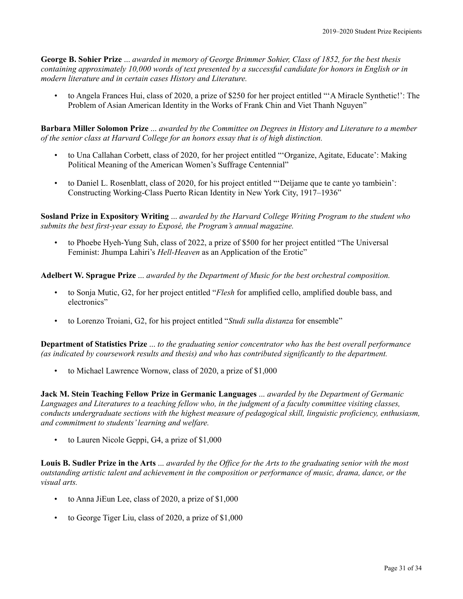**George B. Sohier Prize** ... *awarded in memory of George Brimmer Sohier, Class of 1852, for the best thesis containing approximately 10,000 words of text presented by a successful candidate for honors in English or in modern literature and in certain cases History and Literature.*

• to Angela Frances Hui, class of 2020, a prize of \$250 for her project entitled "'A Miracle Synthetic!': The Problem of Asian American Identity in the Works of Frank Chin and Viet Thanh Nguyen"

**Barbara Miller Solomon Prize** ... *awarded by the Committee on Degrees in History and Literature to a member of the senior class at Harvard College for an honors essay that is of high distinction.*

- to Una Callahan Corbett, class of 2020, for her project entitled "'Organize, Agitate, Educate': Making Political Meaning of the American Women's Suffrage Centennial"
- to Daniel L. Rosenblatt, class of 2020, for his project entitled "'Deìjame que te cante yo tambieìn': Constructing Working-Class Puerto Rican Identity in New York City, 1917–1936"

**Sosland Prize in Expository Writing** ... *awarded by the Harvard College Writing Program to the student who submits the best first-year essay to Exposé, the Program's annual magazine.*

• to Phoebe Hyeh-Yung Suh, class of 2022, a prize of \$500 for her project entitled "The Universal Feminist: Jhumpa Lahiri's *Hell-Heaven* as an Application of the Erotic"

**Adelbert W. Sprague Prize** ... *awarded by the Department of Music for the best orchestral composition.*

- to Sonja Mutic, G2, for her project entitled "*Flesh* for amplified cello, amplified double bass, and electronics"
- to Lorenzo Troiani, G2, for his project entitled "*Studi sulla distanza* for ensemble"

**Department of Statistics Prize** ... *to the graduating senior concentrator who has the best overall performance (as indicated by coursework results and thesis) and who has contributed significantly to the department.*

• to Michael Lawrence Wornow, class of 2020, a prize of \$1,000

**Jack M. Stein Teaching Fellow Prize in Germanic Languages** ... *awarded by the Department of Germanic Languages and Literatures to a teaching fellow who, in the judgment of a faculty committee visiting classes, conducts undergraduate sections with the highest measure of pedagogical skill, linguistic proficiency, enthusiasm, and commitment to students'learning and welfare.*

• to Lauren Nicole Geppi, G4, a prize of \$1,000

**Louis B. Sudler Prize in the Arts** ... *awarded by the Office for the Arts to the graduating senior with the most outstanding artistic talent and achievement in the composition or performance of music, drama, dance, or the visual arts.*

- to Anna JiEun Lee, class of 2020, a prize of \$1,000
- to George Tiger Liu, class of 2020, a prize of \$1,000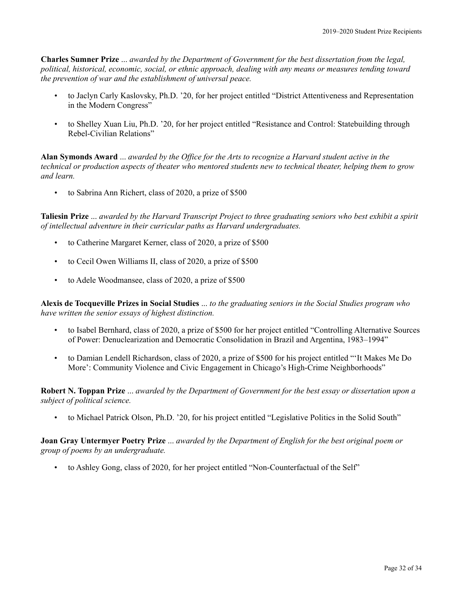**Charles Sumner Prize** ... *awarded by the Department of Government for the best dissertation from the legal, political, historical, economic, social, or ethnic approach, dealing with any means or measures tending toward the prevention of war and the establishment of universal peace.*

- to Jaclyn Carly Kaslovsky, Ph.D. '20, for her project entitled "District Attentiveness and Representation in the Modern Congress"
- to Shelley Xuan Liu, Ph.D. '20, for her project entitled "Resistance and Control: Statebuilding through Rebel-Civilian Relations"

**Alan Symonds Award** ... *awarded by the Office for the Arts to recognize a Harvard student active in the technical or production aspects of theater who mentored students new to technical theater, helping them to grow and learn.*

• to Sabrina Ann Richert, class of 2020, a prize of \$500

**Taliesin Prize** ... *awarded by the Harvard Transcript Project to three graduating seniors who best exhibit a spirit of intellectual adventure in their curricular paths as Harvard undergraduates.*

- to Catherine Margaret Kerner, class of 2020, a prize of \$500
- to Cecil Owen Williams II, class of 2020, a prize of \$500
- to Adele Woodmansee, class of 2020, a prize of \$500

**Alexis de Tocqueville Prizes in Social Studies** ... *to the graduating seniors in the Social Studies program who have written the senior essays of highest distinction.*

- to Isabel Bernhard, class of 2020, a prize of \$500 for her project entitled "Controlling Alternative Sources of Power: Denuclearization and Democratic Consolidation in Brazil and Argentina, 1983–1994"
- to Damian Lendell Richardson, class of 2020, a prize of \$500 for his project entitled "'It Makes Me Do More': Community Violence and Civic Engagement in Chicago's High-Crime Neighborhoods"

**Robert N. Toppan Prize** ... *awarded by the Department of Government for the best essay or dissertation upon a subject of political science.*

• to Michael Patrick Olson, Ph.D. '20, for his project entitled "Legislative Politics in the Solid South"

**Joan Gray Untermyer Poetry Prize** ... *awarded by the Department of English for the best original poem or group of poems by an undergraduate.*

• to Ashley Gong, class of 2020, for her project entitled "Non-Counterfactual of the Self"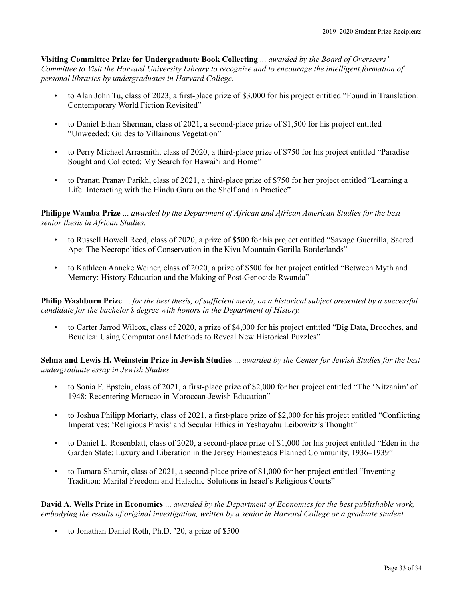**Visiting Committee Prize for Undergraduate Book Collecting** ... *awarded by the Board of Overseers' Committee to Visit the Harvard University Library to recognize and to encourage the intelligent formation of personal libraries by undergraduates in Harvard College.*

- to Alan John Tu, class of 2023, a first-place prize of \$3,000 for his project entitled "Found in Translation: Contemporary World Fiction Revisited"
- to Daniel Ethan Sherman, class of 2021, a second-place prize of \$1,500 for his project entitled "Unweeded: Guides to Villainous Vegetation"
- to Perry Michael Arrasmith, class of 2020, a third-place prize of \$750 for his project entitled "Paradise Sought and Collected: My Search for Hawai'i and Home"
- to Pranati Pranav Parikh, class of 2021, a third-place prize of \$750 for her project entitled "Learning a Life: Interacting with the Hindu Guru on the Shelf and in Practice"

**Philippe Wamba Prize** ... *awarded by the Department of African and African American Studies for the best senior thesis in African Studies.*

- to Russell Howell Reed, class of 2020, a prize of \$500 for his project entitled "Savage Guerrilla, Sacred Ape: The Necropolitics of Conservation in the Kivu Mountain Gorilla Borderlands"
- to Kathleen Anneke Weiner, class of 2020, a prize of \$500 for her project entitled "Between Myth and Memory: History Education and the Making of Post-Genocide Rwanda"

**Philip Washburn Prize** ... *for the best thesis, of sufficient merit, on a historical subject presented by a successful candidate for the bachelor's degree with honors in the Department of History.*

• to Carter Jarrod Wilcox, class of 2020, a prize of \$4,000 for his project entitled "Big Data, Brooches, and Boudica: Using Computational Methods to Reveal New Historical Puzzles"

**Selma and Lewis H. Weinstein Prize in Jewish Studies** ... *awarded by the Center for Jewish Studies for the best undergraduate essay in Jewish Studies.*

- to Sonia F. Epstein, class of 2021, a first-place prize of \$2,000 for her project entitled "The 'Nitzanim' of 1948: Recentering Morocco in Moroccan-Jewish Education"
- to Joshua Philipp Moriarty, class of 2021, a first-place prize of \$2,000 for his project entitled "Conflicting Imperatives: 'Religious Praxis' and Secular Ethics in Yeshayahu Leibowitz's Thought"
- to Daniel L. Rosenblatt, class of 2020, a second-place prize of \$1,000 for his project entitled "Eden in the Garden State: Luxury and Liberation in the Jersey Homesteads Planned Community, 1936–1939"
- to Tamara Shamir, class of 2021, a second-place prize of \$1,000 for her project entitled "Inventing Tradition: Marital Freedom and Halachic Solutions in Israel's Religious Courts"

**David A. Wells Prize in Economics** ... *awarded by the Department of Economics for the best publishable work, embodying the results of original investigation, written by a senior in Harvard College or a graduate student.*

• to Jonathan Daniel Roth, Ph.D. '20, a prize of \$500